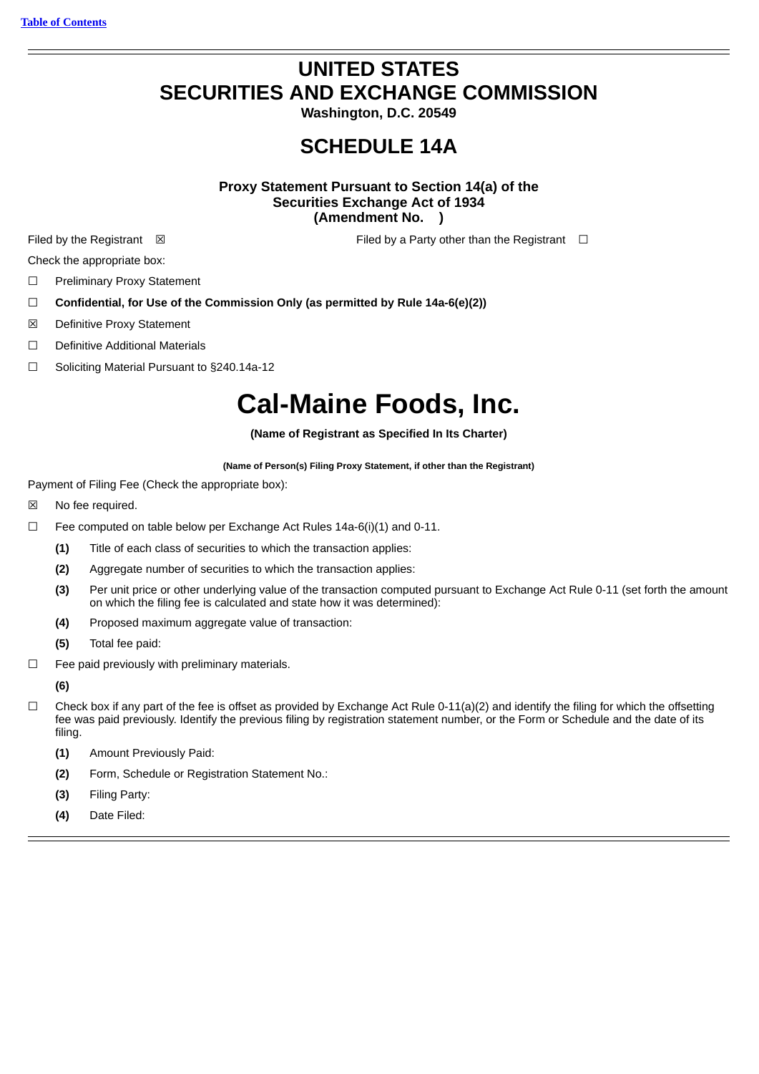## **UNITED STATES SECURITIES AND EXCHANGE COMMISSION**

**Washington, D.C. 20549**

## **SCHEDULE 14A**

**Proxy Statement Pursuant to Section 14(a) of the Securities Exchange Act of 1934 (Amendment No. )**

Filed by the Registrant **⊠** Filed by a Party other than the Registrant **□** 

Check the appropriate box:

- ☐ Preliminary Proxy Statement
- ☐ **Confidential, for Use of the Commission Only (as permitted by Rule 14a-6(e)(2))**
- ☒ Definitive Proxy Statement
- ☐ Definitive Additional Materials
- ☐ Soliciting Material Pursuant to §240.14a-12

# **Cal-Maine Foods, Inc.**

#### **(Name of Registrant as Specified In Its Charter)**

#### **(Name of Person(s) Filing Proxy Statement, if other than the Registrant)**

Payment of Filing Fee (Check the appropriate box):

- ☒ No fee required.
- □ Fee computed on table below per Exchange Act Rules  $14a-6(i)(1)$  and 0-11.
	- **(1)** Title of each class of securities to which the transaction applies:
	- **(2)** Aggregate number of securities to which the transaction applies:
	- **(3)** Per unit price or other underlying value of the transaction computed pursuant to Exchange Act Rule 0-11 (set forth the amount on which the filing fee is calculated and state how it was determined):
	- **(4)** Proposed maximum aggregate value of transaction:
	- **(5)** Total fee paid:
- $\Box$  Fee paid previously with preliminary materials.

## **(6)**

- $\Box$  Check box if any part of the fee is offset as provided by Exchange Act Rule 0-11(a)(2) and identify the filing for which the offsetting fee was paid previously. Identify the previous filing by registration statement number, or the Form or Schedule and the date of its filing.
	- **(1)** Amount Previously Paid:
	- **(2)** Form, Schedule or Registration Statement No.:
	- **(3)** Filing Party:
	- **(4)** Date Filed: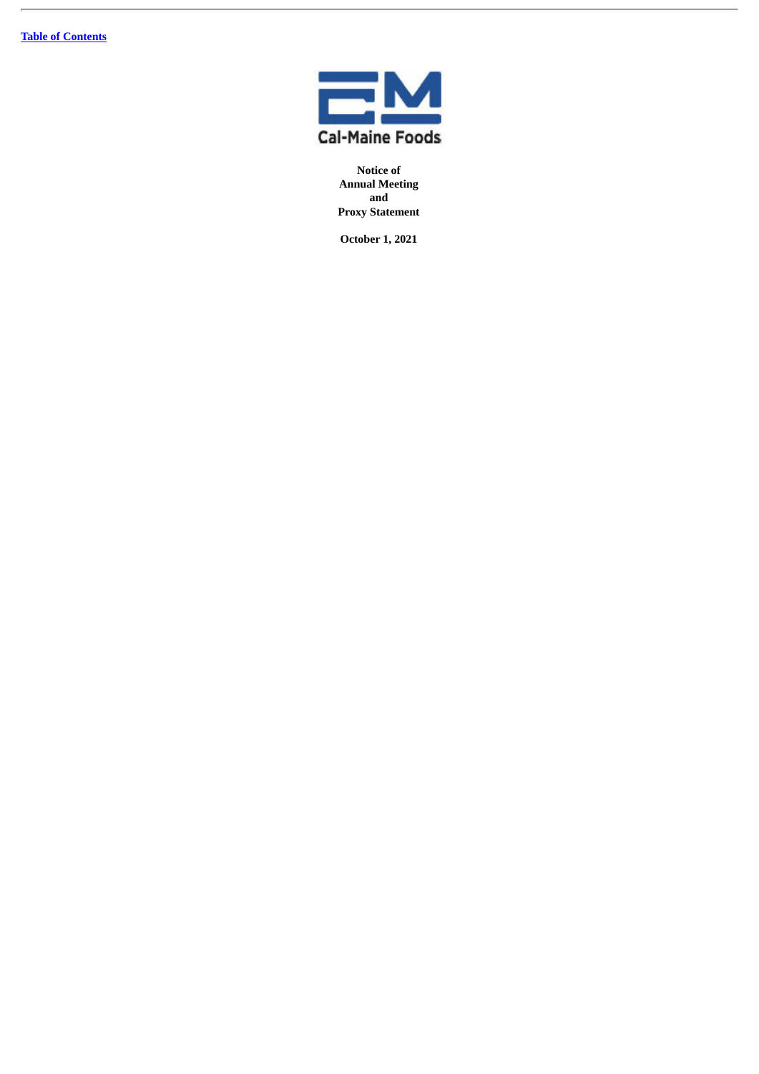

**Notice of Annual Meeting and Proxy Statement**

**October 1, 2021**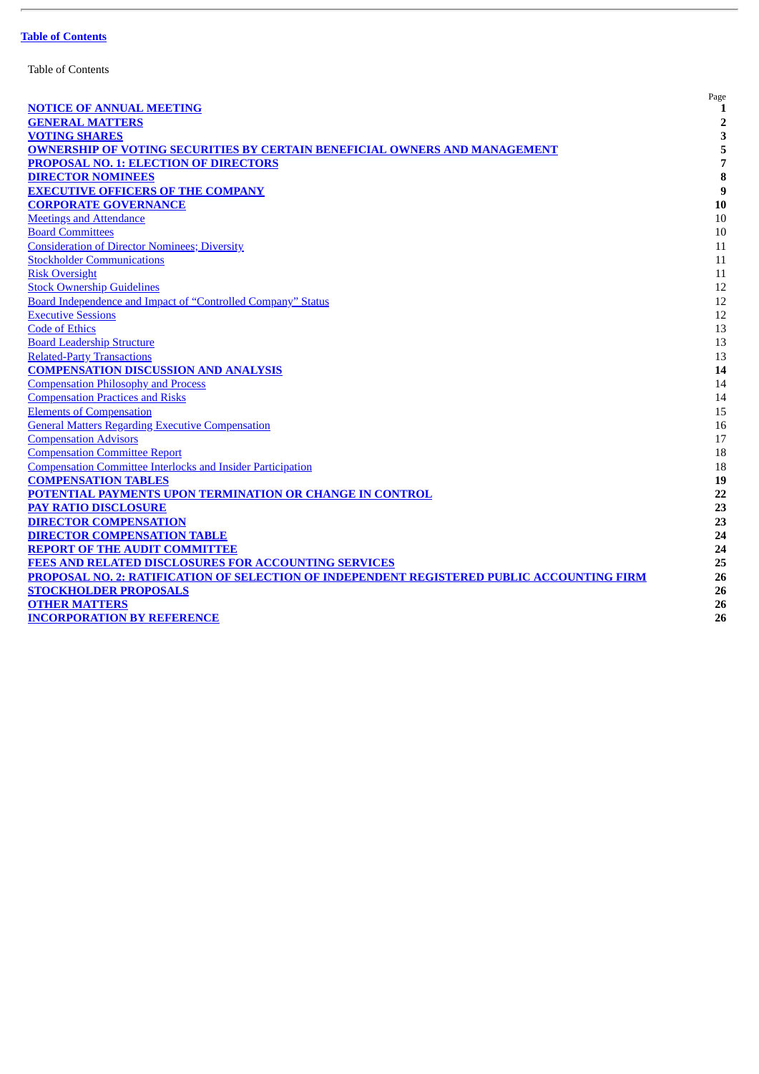| <b>Table of Contents</b> |
|--------------------------|
|--------------------------|

| <b>NOTICE OF ANNUAL MEETING</b>                                                            | Page<br>1      |
|--------------------------------------------------------------------------------------------|----------------|
| <b>GENERAL MATTERS</b>                                                                     | $\overline{2}$ |
| <b>VOTING SHARES</b>                                                                       | 3              |
| <b>OWNERSHIP OF VOTING SECURITIES BY CERTAIN BENEFICIAL OWNERS AND MANAGEMENT</b>          | 5              |
| <b>PROPOSAL NO. 1: ELECTION OF DIRECTORS</b>                                               | 7              |
| <b>DIRECTOR NOMINEES</b>                                                                   | 8              |
| <b>EXECUTIVE OFFICERS OF THE COMPANY</b>                                                   | 9              |
| <b>CORPORATE GOVERNANCE</b>                                                                | 10             |
| <b>Meetings and Attendance</b>                                                             | 10             |
| <b>Board Committees</b>                                                                    | 10             |
| <b>Consideration of Director Nominees; Diversity</b>                                       | 11             |
| <b>Stockholder Communications</b>                                                          | 11             |
| <b>Risk Oversight</b>                                                                      | 11             |
| <b>Stock Ownership Guidelines</b>                                                          | 12             |
| Board Independence and Impact of "Controlled Company" Status                               | 12             |
| <b>Executive Sessions</b>                                                                  | 12             |
| <b>Code of Ethics</b>                                                                      | 13             |
| <b>Board Leadership Structure</b>                                                          | 13             |
| <b>Related-Party Transactions</b>                                                          | 13             |
| <b>COMPENSATION DISCUSSION AND ANALYSIS</b>                                                | 14             |
| <b>Compensation Philosophy and Process</b>                                                 | 14             |
| <b>Compensation Practices and Risks</b>                                                    | 14             |
| <b>Elements of Compensation</b>                                                            | 15             |
| <b>General Matters Regarding Executive Compensation</b>                                    | 16             |
| <b>Compensation Advisors</b>                                                               | 17             |
| <b>Compensation Committee Report</b>                                                       | 18             |
| <b>Compensation Committee Interlocks and Insider Participation</b>                         | 18             |
| <b>COMPENSATION TABLES</b>                                                                 | 19             |
| POTENTIAL PAYMENTS UPON TERMINATION OR CHANGE IN CONTROL                                   | 22             |
| <b>PAY RATIO DISCLOSURE</b>                                                                | 23             |
| <b>DIRECTOR COMPENSATION</b>                                                               | 23             |
| <b>DIRECTOR COMPENSATION TABLE</b>                                                         | 24             |
| <b>REPORT OF THE AUDIT COMMITTEE</b>                                                       | 24             |
| <b>FEES AND RELATED DISCLOSURES FOR ACCOUNTING SERVICES</b>                                | 25             |
| PROPOSAL NO. 2: RATIFICATION OF SELECTION OF INDEPENDENT REGISTERED PUBLIC ACCOUNTING FIRM | 26             |
| <b>STOCKHOLDER PROPOSALS</b>                                                               | 26             |
| <b>OTHER MATTERS</b>                                                                       | 26             |
| <b>INCORPORATION BY REFERENCE</b>                                                          | 26             |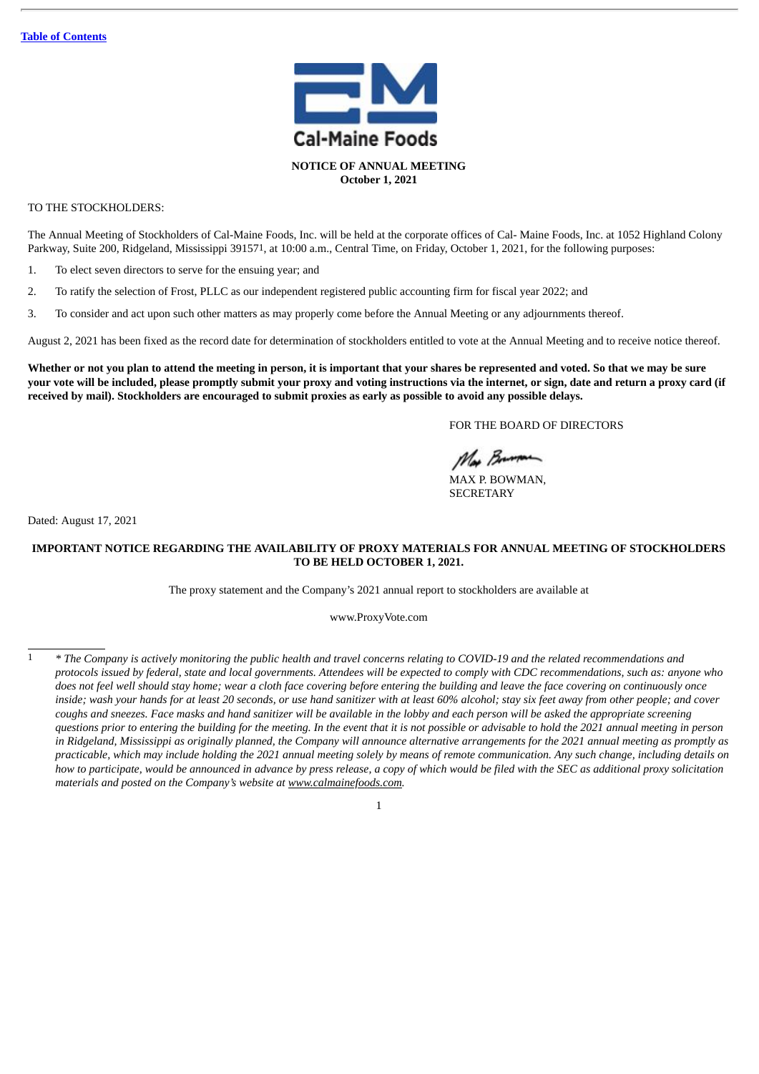

TO THE STOCKHOLDERS:

The Annual Meeting of Stockholders of Cal-Maine Foods, Inc. will be held at the corporate offices of Cal- Maine Foods, Inc. at 1052 Highland Colony Parkway, Suite 200, Ridgeland, Mississippi 391571, at 10:00 a.m., Central Time, on Friday, October 1, 2021, for the following purposes:

1. To elect seven directors to serve for the ensuing year; and

- 2. To ratify the selection of Frost, PLLC as our independent registered public accounting firm for fiscal year 2022; and
- 3. To consider and act upon such other matters as may properly come before the Annual Meeting or any adjournments thereof.

August 2, 2021 has been fixed as the record date for determination of stockholders entitled to vote at the Annual Meeting and to receive notice thereof.

Whether or not you plan to attend the meeting in person, it is important that your shares be represented and voted. So that we may be sure your vote will be included, please promptly submit your proxy and voting instructions via the internet, or sign, date and return a proxy card (if received by mail). Stockholders are encouraged to submit proxies as early as possible to avoid any possible delays.

FOR THE BOARD OF DIRECTORS

Mar Brunon

MAX P. BOWMAN, **SECRETARY** 

Dated: August 17, 2021

## **IMPORTANT NOTICE REGARDING THE AVAILABILITY OF PROXY MATERIALS FOR ANNUAL MEETING OF STOCKHOLDERS TO BE HELD OCTOBER 1, 2021.**

The proxy statement and the Company's 2021 annual report to stockholders are available at

www.ProxyVote.com

<sup>\*</sup> The Company is actively monitoring the public health and travel concerns relating to COVID-19 and the related recommendations and protocols issued by federal, state and local governments. Attendees will be expected to comply with CDC recommendations, such as: anyone who does not feel well should stay home; wear a cloth face covering before entering the building and leave the face covering on continuously once inside; wash your hands for at least 20 seconds, or use hand sanitizer with at least 60% alcohol; stay six feet away from other people; and cover coughs and sneezes. Face masks and hand sanitizer will be available in the lobby and each person will be asked the appropriate screening questions prior to entering the building for the meeting. In the event that it is not possible or advisable to hold the 2021 annual meeting in person in Ridgeland, Mississippi as originally planned, the Company will announce alternative arrangements for the 2021 annual meeting as promptly as practicable, which may include holding the 2021 annual meeting solely by means of remote communication. Any such change, including details on how to participate, would be announced in advance by press release, a copy of which would be filed with the SEC as additional proxy solicitation *materials and posted on the Company's website at www.calmainefoods.com.*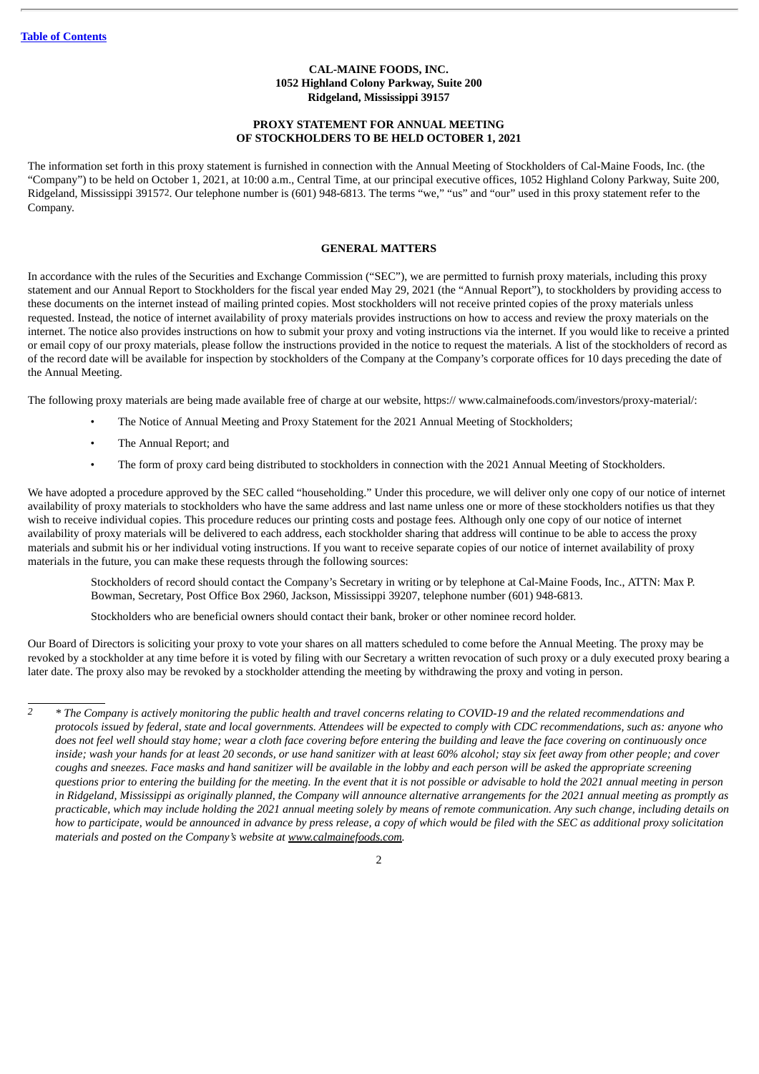## **CAL-MAINE FOODS, INC. 1052 Highland Colony Parkway, Suite 200 Ridgeland, Mississippi 39157**

## **PROXY STATEMENT FOR ANNUAL MEETING OF STOCKHOLDERS TO BE HELD OCTOBER 1, 2021**

The information set forth in this proxy statement is furnished in connection with the Annual Meeting of Stockholders of Cal-Maine Foods, Inc. (the "Company") to be held on October 1, 2021, at 10:00 a.m., Central Time, at our principal executive offices, 1052 Highland Colony Parkway, Suite 200, Ridgeland, Mississippi 391572. Our telephone number is (601) 948-6813. The terms "we," "us" and "our" used in this proxy statement refer to the Company.

## **GENERAL MATTERS**

In accordance with the rules of the Securities and Exchange Commission ("SEC"), we are permitted to furnish proxy materials, including this proxy statement and our Annual Report to Stockholders for the fiscal year ended May 29, 2021 (the "Annual Report"), to stockholders by providing access to these documents on the internet instead of mailing printed copies. Most stockholders will not receive printed copies of the proxy materials unless requested. Instead, the notice of internet availability of proxy materials provides instructions on how to access and review the proxy materials on the internet. The notice also provides instructions on how to submit your proxy and voting instructions via the internet. If you would like to receive a printed or email copy of our proxy materials, please follow the instructions provided in the notice to request the materials. A list of the stockholders of record as of the record date will be available for inspection by stockholders of the Company at the Company's corporate offices for 10 days preceding the date of the Annual Meeting.

The following proxy materials are being made available free of charge at our website, https:// www.calmainefoods.com/investors/proxy-material/:

- The Notice of Annual Meeting and Proxy Statement for the 2021 Annual Meeting of Stockholders;
- The Annual Report; and
- The form of proxy card being distributed to stockholders in connection with the 2021 Annual Meeting of Stockholders.

We have adopted a procedure approved by the SEC called "householding." Under this procedure, we will deliver only one copy of our notice of internet availability of proxy materials to stockholders who have the same address and last name unless one or more of these stockholders notifies us that they wish to receive individual copies. This procedure reduces our printing costs and postage fees. Although only one copy of our notice of internet availability of proxy materials will be delivered to each address, each stockholder sharing that address will continue to be able to access the proxy materials and submit his or her individual voting instructions. If you want to receive separate copies of our notice of internet availability of proxy materials in the future, you can make these requests through the following sources:

Stockholders of record should contact the Company's Secretary in writing or by telephone at Cal-Maine Foods, Inc., ATTN: Max P. Bowman, Secretary, Post Office Box 2960, Jackson, Mississippi 39207, telephone number (601) 948-6813.

Stockholders who are beneficial owners should contact their bank, broker or other nominee record holder.

Our Board of Directors is soliciting your proxy to vote your shares on all matters scheduled to come before the Annual Meeting. The proxy may be revoked by a stockholder at any time before it is voted by filing with our Secretary a written revocation of such proxy or a duly executed proxy bearing a later date. The proxy also may be revoked by a stockholder attending the meeting by withdrawing the proxy and voting in person.

 $\overline{2}$ 

<sup>&</sup>lt;sup>2</sup> \* The Company is actively monitorina the public health and travel concerns relatina to COVID-19 and the related recommendations and protocols issued by federal, state and local governments. Attendees will be expected to comply with CDC recommendations, such as: anyone who does not feel well should stay home; wear a cloth face covering before entering the building and leave the face covering on continuously once inside; wash your hands for at least 20 seconds, or use hand sanitizer with at least 60% alcohol; stay six feet away from other people; and cover coughs and sneezes. Face masks and hand sanitizer will be available in the lobby and each person will be asked the appropriate screening questions prior to entering the building for the meeting. In the event that it is not possible or advisable to hold the 2021 annual meeting in person in Ridgeland, Mississippi as originally planned, the Company will announce alternative arrangements for the 2021 annual meeting as promptly as practicable, which may include holding the 2021 annual meeting solely by means of remote communication. Any such change, including details on how to participate, would be announced in advance by press release, a copy of which would be filed with the SEC as additional proxy solicitation *materials and posted on the Company's website at www.calmainefoods.com.*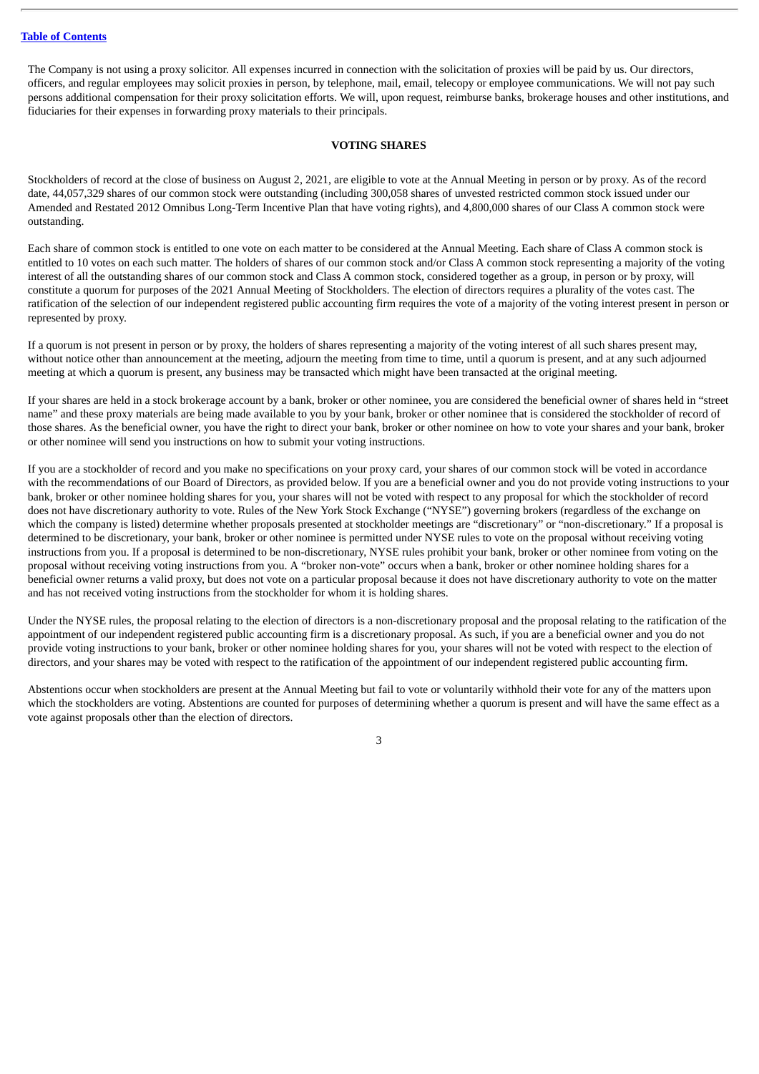The Company is not using a proxy solicitor. All expenses incurred in connection with the solicitation of proxies will be paid by us. Our directors, officers, and regular employees may solicit proxies in person, by telephone, mail, email, telecopy or employee communications. We will not pay such persons additional compensation for their proxy solicitation efforts. We will, upon request, reimburse banks, brokerage houses and other institutions, and fiduciaries for their expenses in forwarding proxy materials to their principals.

## **VOTING SHARES**

Stockholders of record at the close of business on August 2, 2021, are eligible to vote at the Annual Meeting in person or by proxy. As of the record date, 44,057,329 shares of our common stock were outstanding (including 300,058 shares of unvested restricted common stock issued under our Amended and Restated 2012 Omnibus Long-Term Incentive Plan that have voting rights), and 4,800,000 shares of our Class A common stock were outstanding.

Each share of common stock is entitled to one vote on each matter to be considered at the Annual Meeting. Each share of Class A common stock is entitled to 10 votes on each such matter. The holders of shares of our common stock and/or Class A common stock representing a majority of the voting interest of all the outstanding shares of our common stock and Class A common stock, considered together as a group, in person or by proxy, will constitute a quorum for purposes of the 2021 Annual Meeting of Stockholders. The election of directors requires a plurality of the votes cast. The ratification of the selection of our independent registered public accounting firm requires the vote of a majority of the voting interest present in person or represented by proxy.

If a quorum is not present in person or by proxy, the holders of shares representing a majority of the voting interest of all such shares present may, without notice other than announcement at the meeting, adjourn the meeting from time to time, until a quorum is present, and at any such adjourned meeting at which a quorum is present, any business may be transacted which might have been transacted at the original meeting.

If your shares are held in a stock brokerage account by a bank, broker or other nominee, you are considered the beneficial owner of shares held in "street name" and these proxy materials are being made available to you by your bank, broker or other nominee that is considered the stockholder of record of those shares. As the beneficial owner, you have the right to direct your bank, broker or other nominee on how to vote your shares and your bank, broker or other nominee will send you instructions on how to submit your voting instructions.

If you are a stockholder of record and you make no specifications on your proxy card, your shares of our common stock will be voted in accordance with the recommendations of our Board of Directors, as provided below. If you are a beneficial owner and you do not provide voting instructions to your bank, broker or other nominee holding shares for you, your shares will not be voted with respect to any proposal for which the stockholder of record does not have discretionary authority to vote. Rules of the New York Stock Exchange ("NYSE") governing brokers (regardless of the exchange on which the company is listed) determine whether proposals presented at stockholder meetings are "discretionary" or "non-discretionary." If a proposal is determined to be discretionary, your bank, broker or other nominee is permitted under NYSE rules to vote on the proposal without receiving voting instructions from you. If a proposal is determined to be non-discretionary, NYSE rules prohibit your bank, broker or other nominee from voting on the proposal without receiving voting instructions from you. A "broker non-vote" occurs when a bank, broker or other nominee holding shares for a beneficial owner returns a valid proxy, but does not vote on a particular proposal because it does not have discretionary authority to vote on the matter and has not received voting instructions from the stockholder for whom it is holding shares.

Under the NYSE rules, the proposal relating to the election of directors is a non-discretionary proposal and the proposal relating to the ratification of the appointment of our independent registered public accounting firm is a discretionary proposal. As such, if you are a beneficial owner and you do not provide voting instructions to your bank, broker or other nominee holding shares for you, your shares will not be voted with respect to the election of directors, and your shares may be voted with respect to the ratification of the appointment of our independent registered public accounting firm.

Abstentions occur when stockholders are present at the Annual Meeting but fail to vote or voluntarily withhold their vote for any of the matters upon which the stockholders are voting. Abstentions are counted for purposes of determining whether a quorum is present and will have the same effect as a vote against proposals other than the election of directors.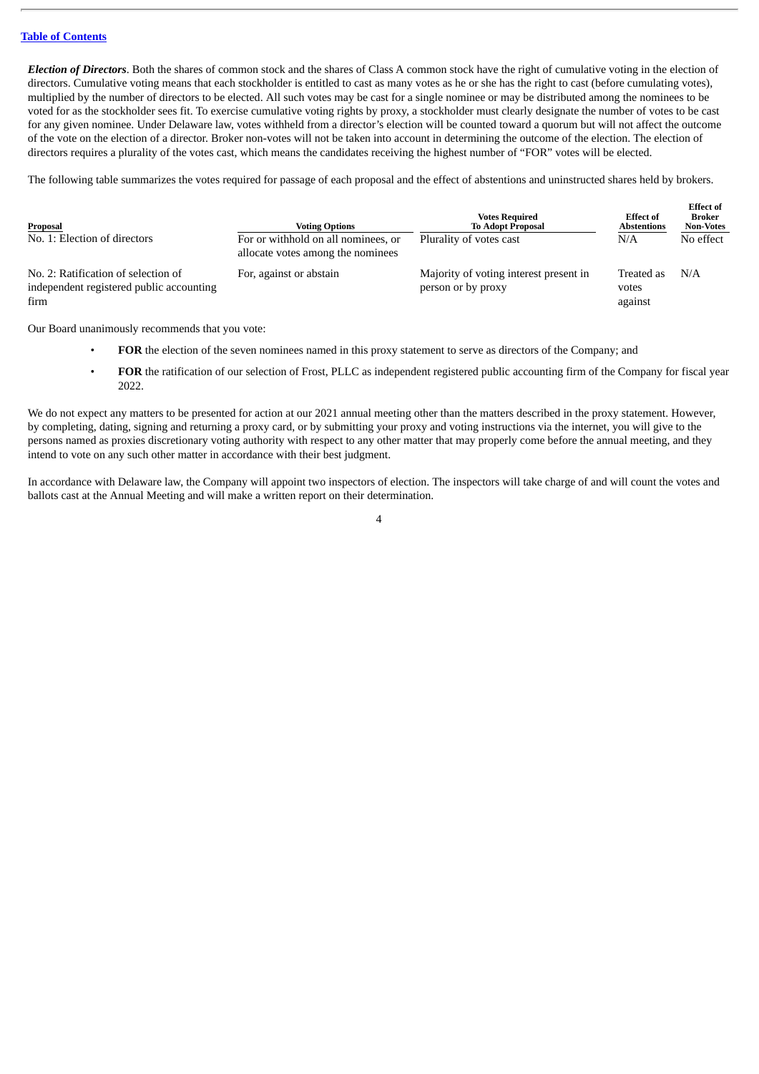*Election of Directors*. Both the shares of common stock and the shares of Class A common stock have the right of cumulative voting in the election of directors. Cumulative voting means that each stockholder is entitled to cast as many votes as he or she has the right to cast (before cumulating votes), multiplied by the number of directors to be elected. All such votes may be cast for a single nominee or may be distributed among the nominees to be voted for as the stockholder sees fit. To exercise cumulative voting rights by proxy, a stockholder must clearly designate the number of votes to be cast for any given nominee. Under Delaware law, votes withheld from a director's election will be counted toward a quorum but will not affect the outcome of the vote on the election of a director. Broker non-votes will not be taken into account in determining the outcome of the election. The election of directors requires a plurality of the votes cast, which means the candidates receiving the highest number of "FOR" votes will be elected.

The following table summarizes the votes required for passage of each proposal and the effect of abstentions and uninstructed shares held by brokers.

| Proposal                                                                                | <b>Voting Options</b>                                                    | <b>Votes Required</b><br><b>To Adopt Proposal</b>            | <b>Effect of</b><br><b>Abstentions</b> | <b>Effect of</b><br>Broker<br><b>Non-Votes</b> |
|-----------------------------------------------------------------------------------------|--------------------------------------------------------------------------|--------------------------------------------------------------|----------------------------------------|------------------------------------------------|
| No. 1: Election of directors                                                            | For or withhold on all nominees, or<br>allocate votes among the nominees | Plurality of votes cast                                      | N/A                                    | No effect                                      |
| No. 2: Ratification of selection of<br>independent registered public accounting<br>firm | For, against or abstain                                                  | Majority of voting interest present in<br>person or by proxy | Treated as<br>votes<br>against         | N/A                                            |

Our Board unanimously recommends that you vote:

- **FOR** the election of the seven nominees named in this proxy statement to serve as directors of the Company; and
- **FOR** the ratification of our selection of Frost, PLLC as independent registered public accounting firm of the Company for fiscal year 2022.

We do not expect any matters to be presented for action at our 2021 annual meeting other than the matters described in the proxy statement. However, by completing, dating, signing and returning a proxy card, or by submitting your proxy and voting instructions via the internet, you will give to the persons named as proxies discretionary voting authority with respect to any other matter that may properly come before the annual meeting, and they intend to vote on any such other matter in accordance with their best judgment.

In accordance with Delaware law, the Company will appoint two inspectors of election. The inspectors will take charge of and will count the votes and ballots cast at the Annual Meeting and will make a written report on their determination.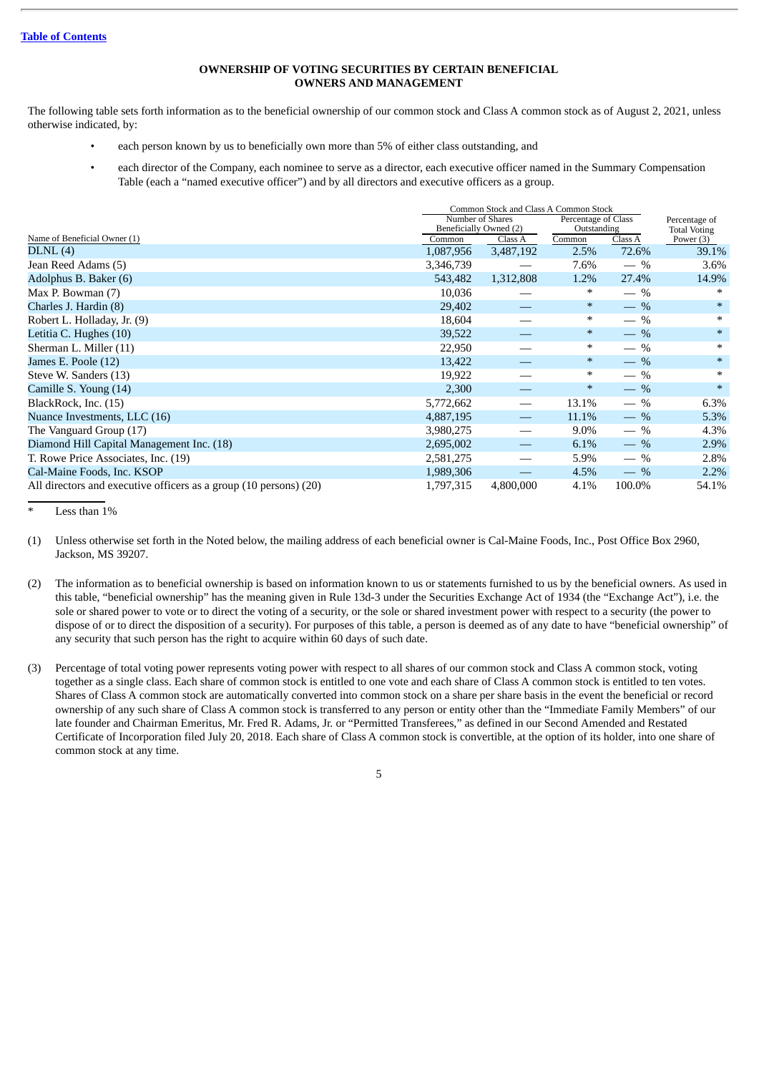## **OWNERSHIP OF VOTING SECURITIES BY CERTAIN BENEFICIAL OWNERS AND MANAGEMENT**

The following table sets forth information as to the beneficial ownership of our common stock and Class A common stock as of August 2, 2021, unless otherwise indicated, by:

- each person known by us to beneficially own more than 5% of either class outstanding, and
- each director of the Company, each nominee to serve as a director, each executive officer named in the Summary Compensation Table (each a "named executive officer") and by all directors and executive officers as a group.

|                                                                   | Common Stock and Class A Common Stock |                        |        |             |                     |
|-------------------------------------------------------------------|---------------------------------------|------------------------|--------|-------------|---------------------|
|                                                                   |                                       | Number of Shares       |        |             | Percentage of       |
|                                                                   |                                       | Beneficially Owned (2) |        | Outstanding | <b>Total Voting</b> |
| Name of Beneficial Owner (1)                                      | Common                                | Class A                | Common | Class A     | Power (3)           |
| DLNL(4)                                                           | 1,087,956                             | 3,487,192              | 2.5%   | 72.6%       | 39.1%               |
| Jean Reed Adams (5)                                               | 3,346,739                             |                        | 7.6%   | $-$ %       | 3.6%                |
| Adolphus B. Baker (6)                                             | 543,482                               | 1,312,808              | 1.2%   | 27.4%       | 14.9%               |
| Max P. Bowman (7)                                                 | 10,036                                |                        | ∗      | $-$ %       | ∗                   |
| Charles J. Hardin (8)                                             | 29,402                                |                        | $\ast$ | $-$ %       | $\ast$              |
| Robert L. Holladay, Jr. (9)                                       | 18,604                                |                        | $\ast$ | $-$ %       | $\ast$              |
| Letitia C. Hughes (10)                                            | 39,522                                |                        | $\ast$ | $-$ %       | $\ast$              |
| Sherman L. Miller (11)                                            | 22,950                                |                        | $\ast$ | $-$ %       | $\ast$              |
| James E. Poole (12)                                               | 13,422                                |                        | $\ast$ | $-$ %       | $\ast$              |
| Steve W. Sanders (13)                                             | 19,922                                |                        | $\ast$ | $-$ %       | $\ast$              |
| Camille S. Young (14)                                             | 2,300                                 |                        | $\ast$ | $-$ %       | $\ast$              |
| BlackRock, Inc. (15)                                              | 5,772,662                             |                        | 13.1%  | $-$ %       | 6.3%                |
| Nuance Investments, LLC (16)                                      | 4,887,195                             |                        | 11.1%  | $-$ %       | 5.3%                |
| The Vanguard Group (17)                                           | 3,980,275                             |                        | 9.0%   | $-$ %       | 4.3%                |
| Diamond Hill Capital Management Inc. (18)                         | 2,695,002                             |                        | 6.1%   | $-$ %       | 2.9%                |
| T. Rowe Price Associates, Inc. (19)                               | 2,581,275                             |                        | 5.9%   | $-$ %       | 2.8%                |
| Cal-Maine Foods, Inc. KSOP                                        | 1,989,306                             |                        | 4.5%   | $-$ %       | 2.2%                |
| All directors and executive officers as a group (10 persons) (20) | 1,797,315                             | 4,800,000              | 4.1%   | 100.0%      | 54.1%               |

Less than  $1%$ 

- (1) Unless otherwise set forth in the Noted below, the mailing address of each beneficial owner is Cal-Maine Foods, Inc., Post Office Box 2960, Jackson, MS 39207.
- (2) The information as to beneficial ownership is based on information known to us or statements furnished to us by the beneficial owners. As used in this table, "beneficial ownership" has the meaning given in Rule 13d-3 under the Securities Exchange Act of 1934 (the "Exchange Act"), i.e. the sole or shared power to vote or to direct the voting of a security, or the sole or shared investment power with respect to a security (the power to dispose of or to direct the disposition of a security). For purposes of this table, a person is deemed as of any date to have "beneficial ownership" of any security that such person has the right to acquire within 60 days of such date.
- (3) Percentage of total voting power represents voting power with respect to all shares of our common stock and Class A common stock, voting together as a single class. Each share of common stock is entitled to one vote and each share of Class A common stock is entitled to ten votes. Shares of Class A common stock are automatically converted into common stock on a share per share basis in the event the beneficial or record ownership of any such share of Class A common stock is transferred to any person or entity other than the "Immediate Family Members" of our late founder and Chairman Emeritus, Mr. Fred R. Adams, Jr. or "Permitted Transferees," as defined in our Second Amended and Restated Certificate of Incorporation filed July 20, 2018. Each share of Class A common stock is convertible, at the option of its holder, into one share of common stock at any time.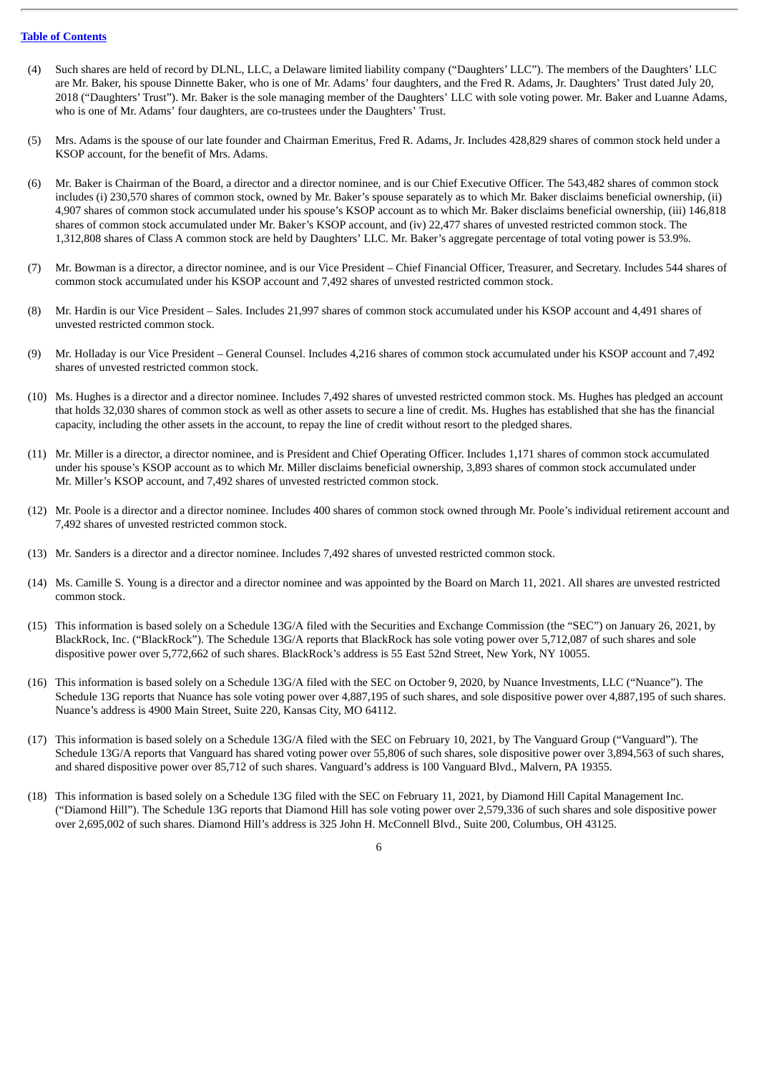- (4) Such shares are held of record by DLNL, LLC, a Delaware limited liability company ("Daughters' LLC"). The members of the Daughters' LLC are Mr. Baker, his spouse Dinnette Baker, who is one of Mr. Adams' four daughters, and the Fred R. Adams, Jr. Daughters' Trust dated July 20, 2018 ("Daughters' Trust"). Mr. Baker is the sole managing member of the Daughters' LLC with sole voting power. Mr. Baker and Luanne Adams, who is one of Mr. Adams' four daughters, are co-trustees under the Daughters' Trust.
- (5) Mrs. Adams is the spouse of our late founder and Chairman Emeritus, Fred R. Adams, Jr. Includes 428,829 shares of common stock held under a KSOP account, for the benefit of Mrs. Adams.
- (6) Mr. Baker is Chairman of the Board, a director and a director nominee, and is our Chief Executive Officer. The 543,482 shares of common stock includes (i) 230,570 shares of common stock, owned by Mr. Baker's spouse separately as to which Mr. Baker disclaims beneficial ownership, (ii) 4,907 shares of common stock accumulated under his spouse's KSOP account as to which Mr. Baker disclaims beneficial ownership, (iii) 146,818 shares of common stock accumulated under Mr. Baker's KSOP account, and (iv) 22,477 shares of unvested restricted common stock. The 1,312,808 shares of Class A common stock are held by Daughters' LLC. Mr. Baker's aggregate percentage of total voting power is 53.9%.
- (7) Mr. Bowman is a director, a director nominee, and is our Vice President Chief Financial Officer, Treasurer, and Secretary. Includes 544 shares of common stock accumulated under his KSOP account and 7,492 shares of unvested restricted common stock.
- (8) Mr. Hardin is our Vice President Sales. Includes 21,997 shares of common stock accumulated under his KSOP account and 4,491 shares of unvested restricted common stock.
- (9) Mr. Holladay is our Vice President General Counsel. Includes 4,216 shares of common stock accumulated under his KSOP account and 7,492 shares of unvested restricted common stock.
- (10) Ms. Hughes is a director and a director nominee. Includes 7,492 shares of unvested restricted common stock. Ms. Hughes has pledged an account that holds 32,030 shares of common stock as well as other assets to secure a line of credit. Ms. Hughes has established that she has the financial capacity, including the other assets in the account, to repay the line of credit without resort to the pledged shares.
- (11) Mr. Miller is a director, a director nominee, and is President and Chief Operating Officer. Includes 1,171 shares of common stock accumulated under his spouse's KSOP account as to which Mr. Miller disclaims beneficial ownership, 3,893 shares of common stock accumulated under Mr. Miller's KSOP account, and 7,492 shares of unvested restricted common stock.
- (12) Mr. Poole is a director and a director nominee. Includes 400 shares of common stock owned through Mr. Poole's individual retirement account and 7,492 shares of unvested restricted common stock.
- (13) Mr. Sanders is a director and a director nominee. Includes 7,492 shares of unvested restricted common stock.
- (14) Ms. Camille S. Young is a director and a director nominee and was appointed by the Board on March 11, 2021. All shares are unvested restricted common stock.
- (15) This information is based solely on a Schedule 13G/A filed with the Securities and Exchange Commission (the "SEC") on January 26, 2021, by BlackRock, Inc. ("BlackRock"). The Schedule 13G/A reports that BlackRock has sole voting power over 5,712,087 of such shares and sole dispositive power over 5,772,662 of such shares. BlackRock's address is 55 East 52nd Street, New York, NY 10055.
- (16) This information is based solely on a Schedule 13G/A filed with the SEC on October 9, 2020, by Nuance Investments, LLC ("Nuance"). The Schedule 13G reports that Nuance has sole voting power over 4,887,195 of such shares, and sole dispositive power over 4,887,195 of such shares. Nuance's address is 4900 Main Street, Suite 220, Kansas City, MO 64112.
- (17) This information is based solely on a Schedule 13G/A filed with the SEC on February 10, 2021, by The Vanguard Group ("Vanguard"). The Schedule 13G/A reports that Vanguard has shared voting power over 55,806 of such shares, sole dispositive power over 3,894,563 of such shares, and shared dispositive power over 85,712 of such shares. Vanguard's address is 100 Vanguard Blvd., Malvern, PA 19355.
- (18) This information is based solely on a Schedule 13G filed with the SEC on February 11, 2021, by Diamond Hill Capital Management Inc. ("Diamond Hill"). The Schedule 13G reports that Diamond Hill has sole voting power over 2,579,336 of such shares and sole dispositive power over 2,695,002 of such shares. Diamond Hill's address is 325 John H. McConnell Blvd., Suite 200, Columbus, OH 43125.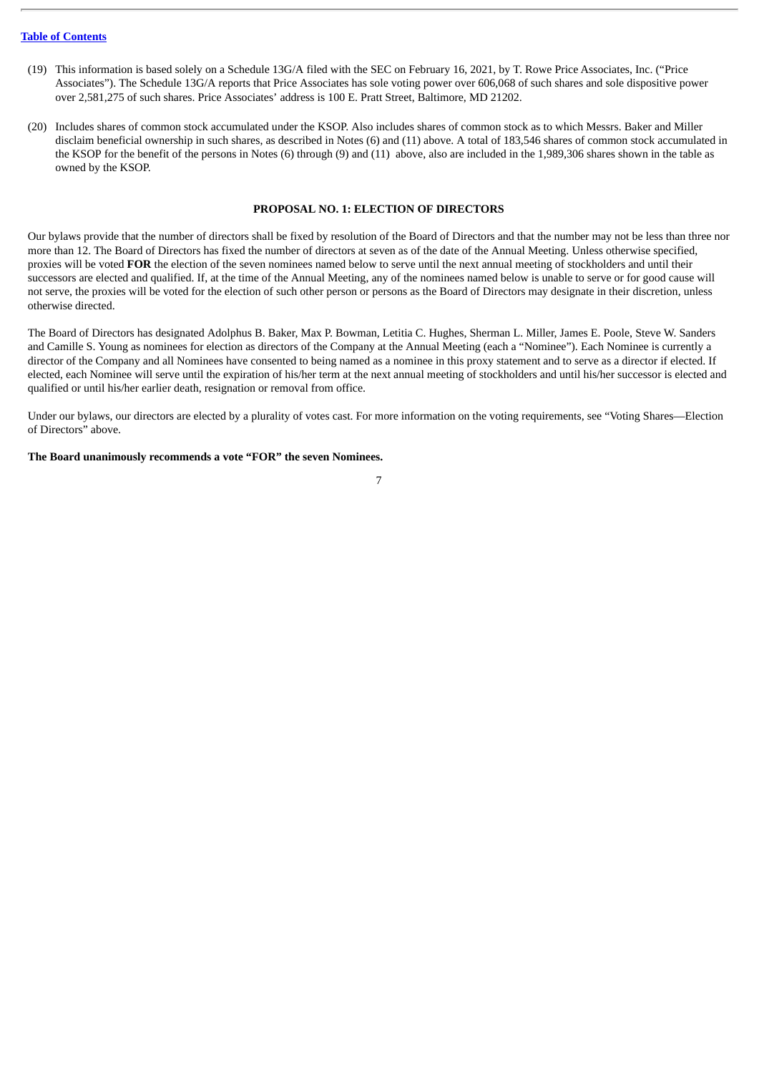- (19) This information is based solely on a Schedule 13G/A filed with the SEC on February 16, 2021, by T. Rowe Price Associates, Inc. ("Price Associates"). The Schedule 13G/A reports that Price Associates has sole voting power over 606,068 of such shares and sole dispositive power over 2,581,275 of such shares. Price Associates' address is 100 E. Pratt Street, Baltimore, MD 21202.
- (20) Includes shares of common stock accumulated under the KSOP. Also includes shares of common stock as to which Messrs. Baker and Miller disclaim beneficial ownership in such shares, as described in Notes (6) and (11) above. A total of 183,546 shares of common stock accumulated in the KSOP for the benefit of the persons in Notes (6) through (9) and (11) above, also are included in the 1,989,306 shares shown in the table as owned by the KSOP.

#### **PROPOSAL NO. 1: ELECTION OF DIRECTORS**

Our bylaws provide that the number of directors shall be fixed by resolution of the Board of Directors and that the number may not be less than three nor more than 12. The Board of Directors has fixed the number of directors at seven as of the date of the Annual Meeting. Unless otherwise specified, proxies will be voted **FOR** the election of the seven nominees named below to serve until the next annual meeting of stockholders and until their successors are elected and qualified. If, at the time of the Annual Meeting, any of the nominees named below is unable to serve or for good cause will not serve, the proxies will be voted for the election of such other person or persons as the Board of Directors may designate in their discretion, unless otherwise directed.

The Board of Directors has designated Adolphus B. Baker, Max P. Bowman, Letitia C. Hughes, Sherman L. Miller, James E. Poole, Steve W. Sanders and Camille S. Young as nominees for election as directors of the Company at the Annual Meeting (each a "Nominee"). Each Nominee is currently a director of the Company and all Nominees have consented to being named as a nominee in this proxy statement and to serve as a director if elected. If elected, each Nominee will serve until the expiration of his/her term at the next annual meeting of stockholders and until his/her successor is elected and qualified or until his/her earlier death, resignation or removal from office.

Under our bylaws, our directors are elected by a plurality of votes cast. For more information on the voting requirements, see "Voting Shares—Election of Directors" above.

#### **The Board unanimously recommends a vote "FOR" the seven Nominees.**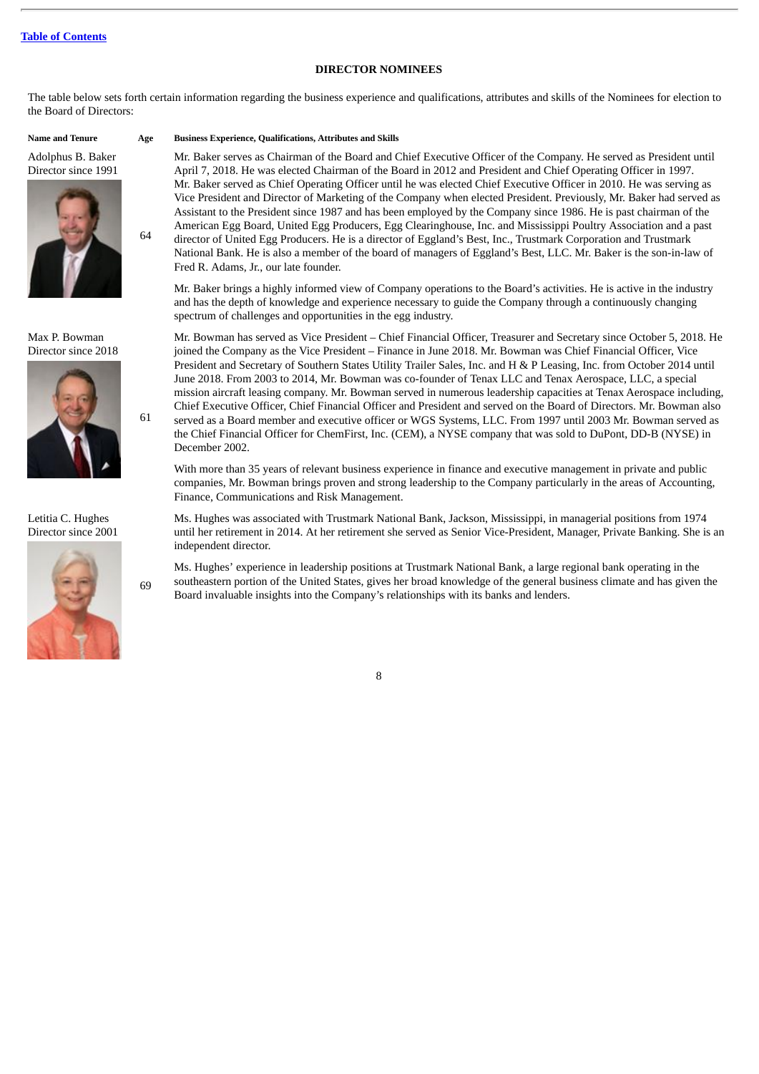## **DIRECTOR NOMINEES**

The table below sets forth certain information regarding the business experience and qualifications, attributes and skills of the Nominees for election to the Board of Directors:

Adolphus B. Baker Director since 1991



64

61

69

Max P. Bowman Director since 2018



Letitia C. Hughes Director since 2001



**Name and Tenure Age Business Experience, Qualifications, Attributes and Skills**

Mr. Baker serves as Chairman of the Board and Chief Executive Officer of the Company. He served as President until April 7, 2018. He was elected Chairman of the Board in 2012 and President and Chief Operating Officer in 1997. Mr. Baker served as Chief Operating Officer until he was elected Chief Executive Officer in 2010. He was serving as Vice President and Director of Marketing of the Company when elected President. Previously, Mr. Baker had served as Assistant to the President since 1987 and has been employed by the Company since 1986. He is past chairman of the American Egg Board, United Egg Producers, Egg Clearinghouse, Inc. and Mississippi Poultry Association and a past director of United Egg Producers. He is a director of Eggland's Best, Inc., Trustmark Corporation and Trustmark National Bank. He is also a member of the board of managers of Eggland's Best, LLC. Mr. Baker is the son-in-law of Fred R. Adams, Jr., our late founder.

Mr. Baker brings a highly informed view of Company operations to the Board's activities. He is active in the industry and has the depth of knowledge and experience necessary to guide the Company through a continuously changing spectrum of challenges and opportunities in the egg industry.

Mr. Bowman has served as Vice President – Chief Financial Officer, Treasurer and Secretary since October 5, 2018. He joined the Company as the Vice President – Finance in June 2018. Mr. Bowman was Chief Financial Officer, Vice President and Secretary of Southern States Utility Trailer Sales, Inc. and H & P Leasing, Inc. from October 2014 until June 2018. From 2003 to 2014, Mr. Bowman was co-founder of Tenax LLC and Tenax Aerospace, LLC, a special mission aircraft leasing company. Mr. Bowman served in numerous leadership capacities at Tenax Aerospace including, Chief Executive Officer, Chief Financial Officer and President and served on the Board of Directors. Mr. Bowman also served as a Board member and executive officer or WGS Systems, LLC. From 1997 until 2003 Mr. Bowman served as the Chief Financial Officer for ChemFirst, Inc. (CEM), a NYSE company that was sold to DuPont, DD-B (NYSE) in December 2002.

With more than 35 years of relevant business experience in finance and executive management in private and public companies, Mr. Bowman brings proven and strong leadership to the Company particularly in the areas of Accounting, Finance, Communications and Risk Management.

Ms. Hughes was associated with Trustmark National Bank, Jackson, Mississippi, in managerial positions from 1974 until her retirement in 2014. At her retirement she served as Senior Vice-President, Manager, Private Banking. She is an independent director.

Ms. Hughes' experience in leadership positions at Trustmark National Bank, a large regional bank operating in the southeastern portion of the United States, gives her broad knowledge of the general business climate and has given the Board invaluable insights into the Company's relationships with its banks and lenders.

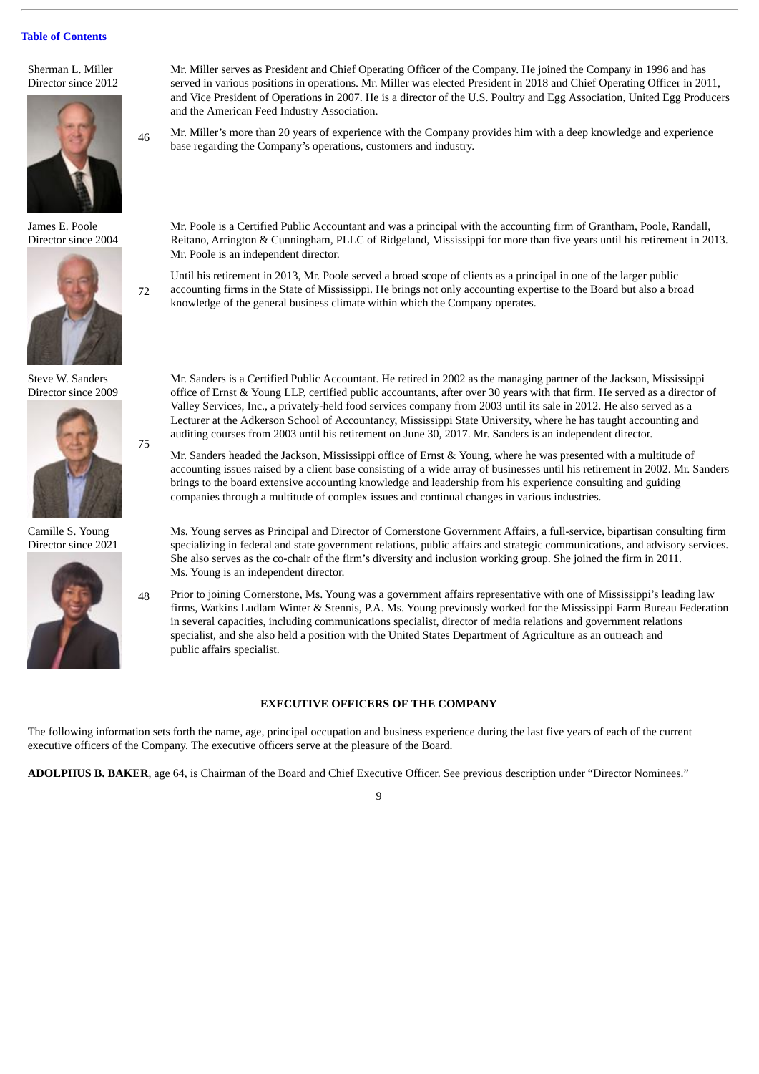### Sherman L. Miller Director since 2012



James E. Poole Director since 2004



72

75

Steve W. Sanders Director since 2009



Camille S. Young Director since 2021



Mr. Miller serves as President and Chief Operating Officer of the Company. He joined the Company in 1996 and has served in various positions in operations. Mr. Miller was elected President in 2018 and Chief Operating Officer in 2011, and Vice President of Operations in 2007. He is a director of the U.S. Poultry and Egg Association, United Egg Producers and the American Feed Industry Association.

46 Mr. Miller's more than 20 years of experience with the Company provides him with a deep knowledge and experience base regarding the Company's operations, customers and industry.

Mr. Poole is a Certified Public Accountant and was a principal with the accounting firm of Grantham, Poole, Randall, Reitano, Arrington & Cunningham, PLLC of Ridgeland, Mississippi for more than five years until his retirement in 2013. Mr. Poole is an independent director.

Until his retirement in 2013, Mr. Poole served a broad scope of clients as a principal in one of the larger public accounting firms in the State of Mississippi. He brings not only accounting expertise to the Board but also a broad knowledge of the general business climate within which the Company operates.

Mr. Sanders is a Certified Public Accountant. He retired in 2002 as the managing partner of the Jackson, Mississippi office of Ernst & Young LLP, certified public accountants, after over 30 years with that firm. He served as a director of Valley Services, Inc., a privately-held food services company from 2003 until its sale in 2012. He also served as a Lecturer at the Adkerson School of Accountancy, Mississippi State University, where he has taught accounting and auditing courses from 2003 until his retirement on June 30, 2017. Mr. Sanders is an independent director.

Mr. Sanders headed the Jackson, Mississippi office of Ernst & Young, where he was presented with a multitude of accounting issues raised by a client base consisting of a wide array of businesses until his retirement in 2002. Mr. Sanders brings to the board extensive accounting knowledge and leadership from his experience consulting and guiding companies through a multitude of complex issues and continual changes in various industries.

Ms. Young serves as Principal and Director of Cornerstone Government Affairs, a full-service, bipartisan consulting firm specializing in federal and state government relations, public affairs and strategic communications, and advisory services. She also serves as the co-chair of the firm's diversity and inclusion working group. She joined the firm in 2011. Ms. Young is an independent director.

48 Prior to joining Cornerstone, Ms. Young was a government affairs representative with one of Mississippi's leading law firms, Watkins Ludlam Winter & Stennis, P.A. Ms. Young previously worked for the Mississippi Farm Bureau Federation in several capacities, including communications specialist, director of media relations and government relations specialist, and she also held a position with the United States Department of Agriculture as an outreach and public affairs specialist.

## **EXECUTIVE OFFICERS OF THE COMPANY**

The following information sets forth the name, age, principal occupation and business experience during the last five years of each of the current executive officers of the Company. The executive officers serve at the pleasure of the Board.

**ADOLPHUS B. BAKER**, age 64, is Chairman of the Board and Chief Executive Officer. See previous description under "Director Nominees."

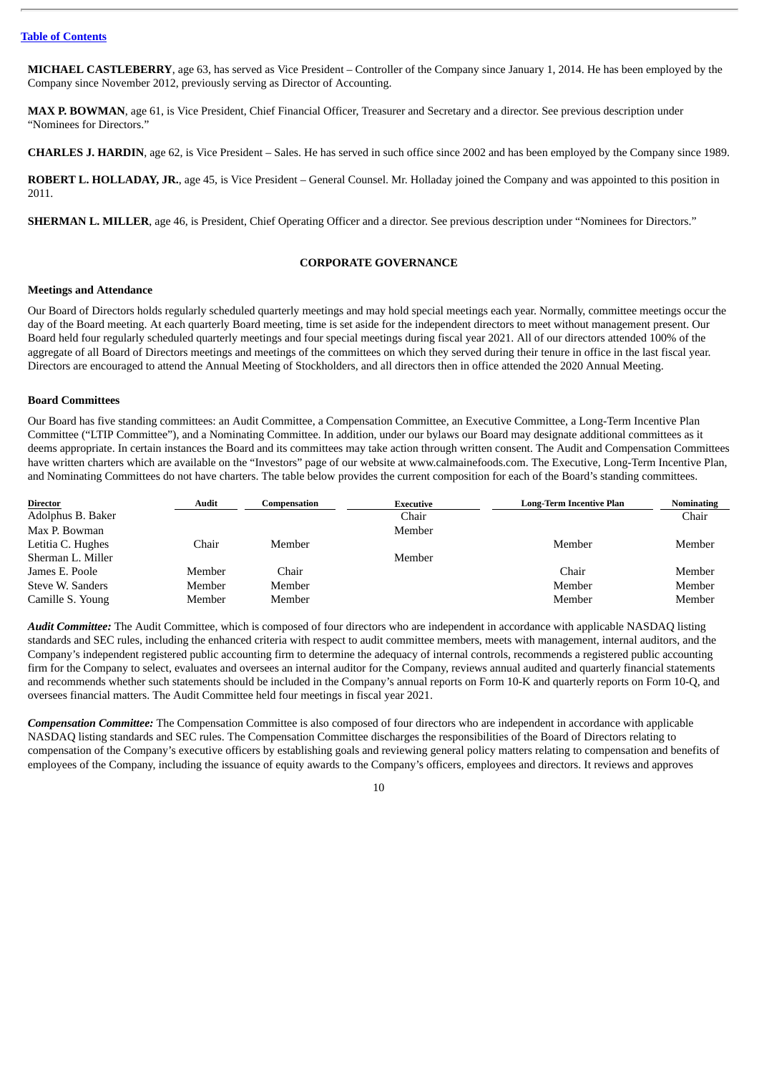**MICHAEL CASTLEBERRY**, age 63, has served as Vice President – Controller of the Company since January 1, 2014. He has been employed by the Company since November 2012, previously serving as Director of Accounting.

**MAX P. BOWMAN**, age 61, is Vice President, Chief Financial Officer, Treasurer and Secretary and a director. See previous description under "Nominees for Directors."

**CHARLES J. HARDIN**, age 62, is Vice President – Sales. He has served in such office since 2002 and has been employed by the Company since 1989.

**ROBERT L. HOLLADAY, JR.**, age 45, is Vice President – General Counsel. Mr. Holladay joined the Company and was appointed to this position in 2011.

**SHERMAN L. MILLER**, age 46, is President, Chief Operating Officer and a director. See previous description under "Nominees for Directors."

## **CORPORATE GOVERNANCE**

#### **Meetings and Attendance**

Our Board of Directors holds regularly scheduled quarterly meetings and may hold special meetings each year. Normally, committee meetings occur the day of the Board meeting. At each quarterly Board meeting, time is set aside for the independent directors to meet without management present. Our Board held four regularly scheduled quarterly meetings and four special meetings during fiscal year 2021. All of our directors attended 100% of the aggregate of all Board of Directors meetings and meetings of the committees on which they served during their tenure in office in the last fiscal year. Directors are encouraged to attend the Annual Meeting of Stockholders, and all directors then in office attended the 2020 Annual Meeting.

#### **Board Committees**

Our Board has five standing committees: an Audit Committee, a Compensation Committee, an Executive Committee, a Long-Term Incentive Plan Committee ("LTIP Committee"), and a Nominating Committee. In addition, under our bylaws our Board may designate additional committees as it deems appropriate. In certain instances the Board and its committees may take action through written consent. The Audit and Compensation Committees have written charters which are available on the "Investors" page of our website at www.calmainefoods.com. The Executive, Long-Term Incentive Plan, and Nominating Committees do not have charters. The table below provides the current composition for each of the Board's standing committees.

| Director          | Audit  | Compensation | Executive | <b>Long-Term Incentive Plan</b> | <b>Nominating</b> |
|-------------------|--------|--------------|-----------|---------------------------------|-------------------|
| Adolphus B. Baker |        |              | Chair     |                                 | Chair             |
| Max P. Bowman     |        |              | Member    |                                 |                   |
| Letitia C. Hughes | Chair  | Member       |           | Member                          | Member            |
| Sherman L. Miller |        |              | Member    |                                 |                   |
| James E. Poole    | Member | Chair        |           | Chair                           | Member            |
| Steve W. Sanders  | Member | Member       |           | Member                          | Member            |
| Camille S. Young  | Member | Member       |           | Member                          | Member            |

*Audit Committee:* The Audit Committee, which is composed of four directors who are independent in accordance with applicable NASDAQ listing standards and SEC rules, including the enhanced criteria with respect to audit committee members, meets with management, internal auditors, and the Company's independent registered public accounting firm to determine the adequacy of internal controls, recommends a registered public accounting firm for the Company to select, evaluates and oversees an internal auditor for the Company, reviews annual audited and quarterly financial statements and recommends whether such statements should be included in the Company's annual reports on Form 10-K and quarterly reports on Form 10-Q, and oversees financial matters. The Audit Committee held four meetings in fiscal year 2021.

*Compensation Committee:* The Compensation Committee is also composed of four directors who are independent in accordance with applicable NASDAQ listing standards and SEC rules. The Compensation Committee discharges the responsibilities of the Board of Directors relating to compensation of the Company's executive officers by establishing goals and reviewing general policy matters relating to compensation and benefits of employees of the Company, including the issuance of equity awards to the Company's officers, employees and directors. It reviews and approves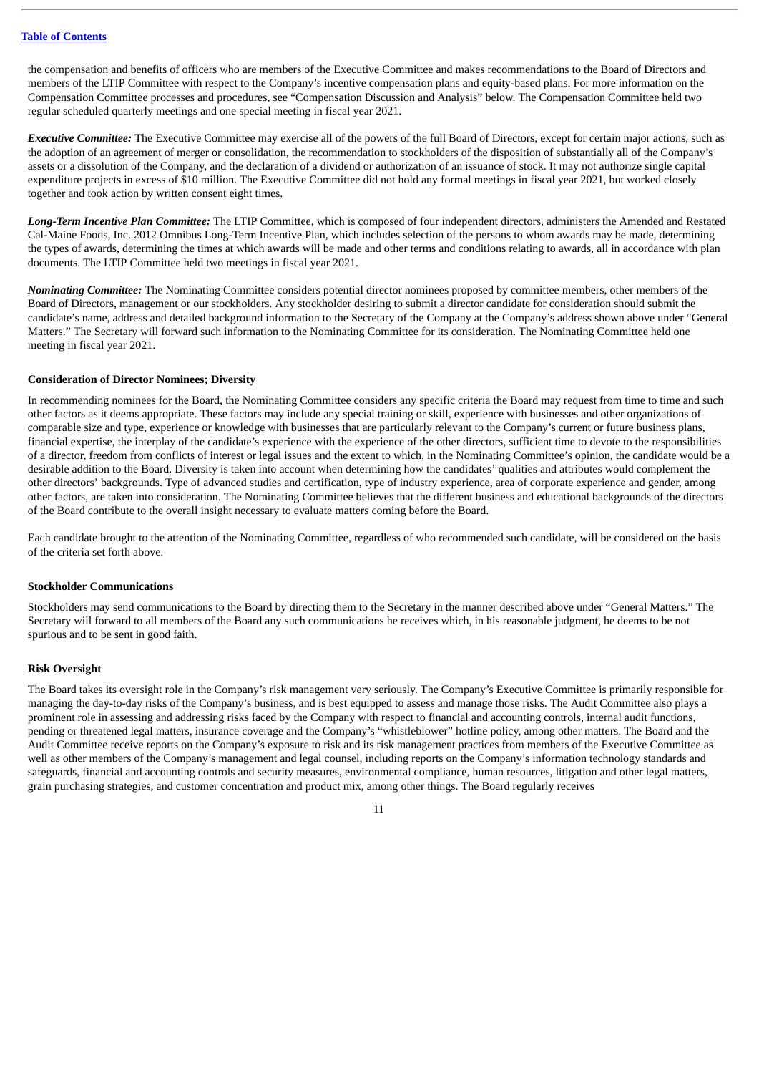the compensation and benefits of officers who are members of the Executive Committee and makes recommendations to the Board of Directors and members of the LTIP Committee with respect to the Company's incentive compensation plans and equity-based plans. For more information on the Compensation Committee processes and procedures, see "Compensation Discussion and Analysis" below. The Compensation Committee held two regular scheduled quarterly meetings and one special meeting in fiscal year 2021.

*Executive Committee:* The Executive Committee may exercise all of the powers of the full Board of Directors, except for certain major actions, such as the adoption of an agreement of merger or consolidation, the recommendation to stockholders of the disposition of substantially all of the Company's assets or a dissolution of the Company, and the declaration of a dividend or authorization of an issuance of stock. It may not authorize single capital expenditure projects in excess of \$10 million. The Executive Committee did not hold any formal meetings in fiscal year 2021, but worked closely together and took action by written consent eight times.

*Long-Term Incentive Plan Committee:* The LTIP Committee, which is composed of four independent directors, administers the Amended and Restated Cal-Maine Foods, Inc. 2012 Omnibus Long-Term Incentive Plan, which includes selection of the persons to whom awards may be made, determining the types of awards, determining the times at which awards will be made and other terms and conditions relating to awards, all in accordance with plan documents. The LTIP Committee held two meetings in fiscal year 2021.

*Nominating Committee:* The Nominating Committee considers potential director nominees proposed by committee members, other members of the Board of Directors, management or our stockholders. Any stockholder desiring to submit a director candidate for consideration should submit the candidate's name, address and detailed background information to the Secretary of the Company at the Company's address shown above under "General Matters." The Secretary will forward such information to the Nominating Committee for its consideration. The Nominating Committee held one meeting in fiscal year 2021.

#### **Consideration of Director Nominees; Diversity**

In recommending nominees for the Board, the Nominating Committee considers any specific criteria the Board may request from time to time and such other factors as it deems appropriate. These factors may include any special training or skill, experience with businesses and other organizations of comparable size and type, experience or knowledge with businesses that are particularly relevant to the Company's current or future business plans, financial expertise, the interplay of the candidate's experience with the experience of the other directors, sufficient time to devote to the responsibilities of a director, freedom from conflicts of interest or legal issues and the extent to which, in the Nominating Committee's opinion, the candidate would be a desirable addition to the Board. Diversity is taken into account when determining how the candidates' qualities and attributes would complement the other directors' backgrounds. Type of advanced studies and certification, type of industry experience, area of corporate experience and gender, among other factors, are taken into consideration. The Nominating Committee believes that the different business and educational backgrounds of the directors of the Board contribute to the overall insight necessary to evaluate matters coming before the Board.

Each candidate brought to the attention of the Nominating Committee, regardless of who recommended such candidate, will be considered on the basis of the criteria set forth above.

#### **Stockholder Communications**

Stockholders may send communications to the Board by directing them to the Secretary in the manner described above under "General Matters." The Secretary will forward to all members of the Board any such communications he receives which, in his reasonable judgment, he deems to be not spurious and to be sent in good faith.

#### **Risk Oversight**

The Board takes its oversight role in the Company's risk management very seriously. The Company's Executive Committee is primarily responsible for managing the day-to-day risks of the Company's business, and is best equipped to assess and manage those risks. The Audit Committee also plays a prominent role in assessing and addressing risks faced by the Company with respect to financial and accounting controls, internal audit functions, pending or threatened legal matters, insurance coverage and the Company's "whistleblower" hotline policy, among other matters. The Board and the Audit Committee receive reports on the Company's exposure to risk and its risk management practices from members of the Executive Committee as well as other members of the Company's management and legal counsel, including reports on the Company's information technology standards and safeguards, financial and accounting controls and security measures, environmental compliance, human resources, litigation and other legal matters, grain purchasing strategies, and customer concentration and product mix, among other things. The Board regularly receives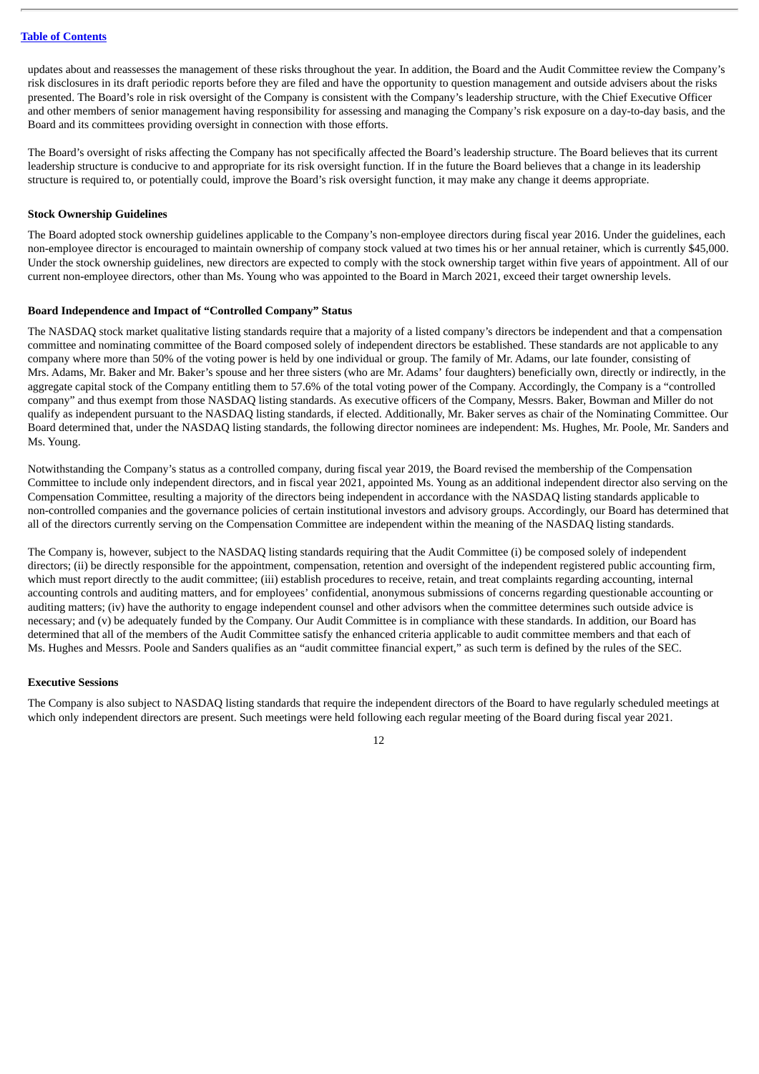updates about and reassesses the management of these risks throughout the year. In addition, the Board and the Audit Committee review the Company's risk disclosures in its draft periodic reports before they are filed and have the opportunity to question management and outside advisers about the risks presented. The Board's role in risk oversight of the Company is consistent with the Company's leadership structure, with the Chief Executive Officer and other members of senior management having responsibility for assessing and managing the Company's risk exposure on a day-to-day basis, and the Board and its committees providing oversight in connection with those efforts.

The Board's oversight of risks affecting the Company has not specifically affected the Board's leadership structure. The Board believes that its current leadership structure is conducive to and appropriate for its risk oversight function. If in the future the Board believes that a change in its leadership structure is required to, or potentially could, improve the Board's risk oversight function, it may make any change it deems appropriate.

#### **Stock Ownership Guidelines**

The Board adopted stock ownership guidelines applicable to the Company's non-employee directors during fiscal year 2016. Under the guidelines, each non-employee director is encouraged to maintain ownership of company stock valued at two times his or her annual retainer, which is currently \$45,000. Under the stock ownership guidelines, new directors are expected to comply with the stock ownership target within five years of appointment. All of our current non-employee directors, other than Ms. Young who was appointed to the Board in March 2021, exceed their target ownership levels.

## **Board Independence and Impact of "Controlled Company" Status**

The NASDAQ stock market qualitative listing standards require that a majority of a listed company's directors be independent and that a compensation committee and nominating committee of the Board composed solely of independent directors be established. These standards are not applicable to any company where more than 50% of the voting power is held by one individual or group. The family of Mr. Adams, our late founder, consisting of Mrs. Adams, Mr. Baker and Mr. Baker's spouse and her three sisters (who are Mr. Adams' four daughters) beneficially own, directly or indirectly, in the aggregate capital stock of the Company entitling them to 57.6% of the total voting power of the Company. Accordingly, the Company is a "controlled company" and thus exempt from those NASDAQ listing standards. As executive officers of the Company, Messrs. Baker, Bowman and Miller do not qualify as independent pursuant to the NASDAQ listing standards, if elected. Additionally, Mr. Baker serves as chair of the Nominating Committee. Our Board determined that, under the NASDAQ listing standards, the following director nominees are independent: Ms. Hughes, Mr. Poole, Mr. Sanders and Ms. Young.

Notwithstanding the Company's status as a controlled company, during fiscal year 2019, the Board revised the membership of the Compensation Committee to include only independent directors, and in fiscal year 2021, appointed Ms. Young as an additional independent director also serving on the Compensation Committee, resulting a majority of the directors being independent in accordance with the NASDAQ listing standards applicable to non-controlled companies and the governance policies of certain institutional investors and advisory groups. Accordingly, our Board has determined that all of the directors currently serving on the Compensation Committee are independent within the meaning of the NASDAQ listing standards.

The Company is, however, subject to the NASDAQ listing standards requiring that the Audit Committee (i) be composed solely of independent directors; (ii) be directly responsible for the appointment, compensation, retention and oversight of the independent registered public accounting firm, which must report directly to the audit committee; (iii) establish procedures to receive, retain, and treat complaints regarding accounting, internal accounting controls and auditing matters, and for employees' confidential, anonymous submissions of concerns regarding questionable accounting or auditing matters; (iv) have the authority to engage independent counsel and other advisors when the committee determines such outside advice is necessary; and (v) be adequately funded by the Company. Our Audit Committee is in compliance with these standards. In addition, our Board has determined that all of the members of the Audit Committee satisfy the enhanced criteria applicable to audit committee members and that each of Ms. Hughes and Messrs. Poole and Sanders qualifies as an "audit committee financial expert," as such term is defined by the rules of the SEC.

#### **Executive Sessions**

The Company is also subject to NASDAQ listing standards that require the independent directors of the Board to have regularly scheduled meetings at which only independent directors are present. Such meetings were held following each regular meeting of the Board during fiscal year 2021.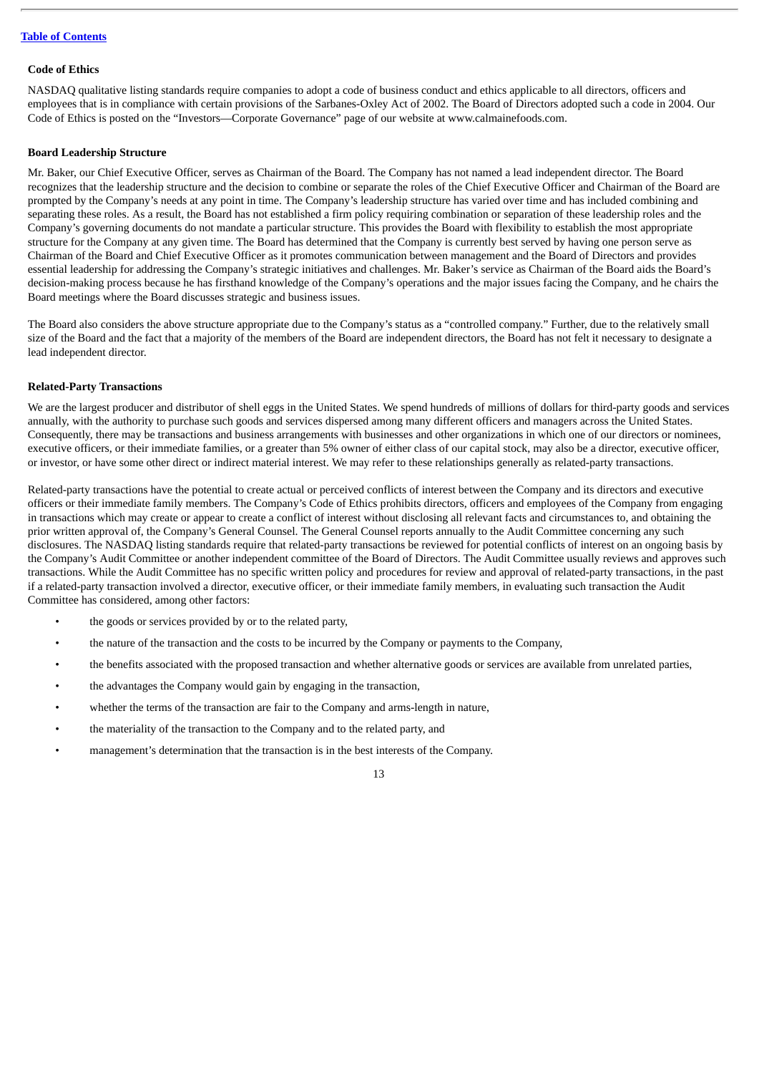#### **Code of Ethics**

NASDAQ qualitative listing standards require companies to adopt a code of business conduct and ethics applicable to all directors, officers and employees that is in compliance with certain provisions of the Sarbanes-Oxley Act of 2002. The Board of Directors adopted such a code in 2004. Our Code of Ethics is posted on the "Investors—Corporate Governance" page of our website at www.calmainefoods.com.

#### **Board Leadership Structure**

Mr. Baker, our Chief Executive Officer, serves as Chairman of the Board. The Company has not named a lead independent director. The Board recognizes that the leadership structure and the decision to combine or separate the roles of the Chief Executive Officer and Chairman of the Board are prompted by the Company's needs at any point in time. The Company's leadership structure has varied over time and has included combining and separating these roles. As a result, the Board has not established a firm policy requiring combination or separation of these leadership roles and the Company's governing documents do not mandate a particular structure. This provides the Board with flexibility to establish the most appropriate structure for the Company at any given time. The Board has determined that the Company is currently best served by having one person serve as Chairman of the Board and Chief Executive Officer as it promotes communication between management and the Board of Directors and provides essential leadership for addressing the Company's strategic initiatives and challenges. Mr. Baker's service as Chairman of the Board aids the Board's decision-making process because he has firsthand knowledge of the Company's operations and the major issues facing the Company, and he chairs the Board meetings where the Board discusses strategic and business issues.

The Board also considers the above structure appropriate due to the Company's status as a "controlled company." Further, due to the relatively small size of the Board and the fact that a majority of the members of the Board are independent directors, the Board has not felt it necessary to designate a lead independent director.

#### **Related-Party Transactions**

We are the largest producer and distributor of shell eggs in the United States. We spend hundreds of millions of dollars for third-party goods and services annually, with the authority to purchase such goods and services dispersed among many different officers and managers across the United States. Consequently, there may be transactions and business arrangements with businesses and other organizations in which one of our directors or nominees, executive officers, or their immediate families, or a greater than 5% owner of either class of our capital stock, may also be a director, executive officer, or investor, or have some other direct or indirect material interest. We may refer to these relationships generally as related-party transactions.

Related-party transactions have the potential to create actual or perceived conflicts of interest between the Company and its directors and executive officers or their immediate family members. The Company's Code of Ethics prohibits directors, officers and employees of the Company from engaging in transactions which may create or appear to create a conflict of interest without disclosing all relevant facts and circumstances to, and obtaining the prior written approval of, the Company's General Counsel. The General Counsel reports annually to the Audit Committee concerning any such disclosures. The NASDAQ listing standards require that related-party transactions be reviewed for potential conflicts of interest on an ongoing basis by the Company's Audit Committee or another independent committee of the Board of Directors. The Audit Committee usually reviews and approves such transactions. While the Audit Committee has no specific written policy and procedures for review and approval of related-party transactions, in the past if a related-party transaction involved a director, executive officer, or their immediate family members, in evaluating such transaction the Audit Committee has considered, among other factors:

- the goods or services provided by or to the related party,
- the nature of the transaction and the costs to be incurred by the Company or payments to the Company,
- the benefits associated with the proposed transaction and whether alternative goods or services are available from unrelated parties,
- the advantages the Company would gain by engaging in the transaction,
- whether the terms of the transaction are fair to the Company and arms-length in nature,
- the materiality of the transaction to the Company and to the related party, and
- management's determination that the transaction is in the best interests of the Company.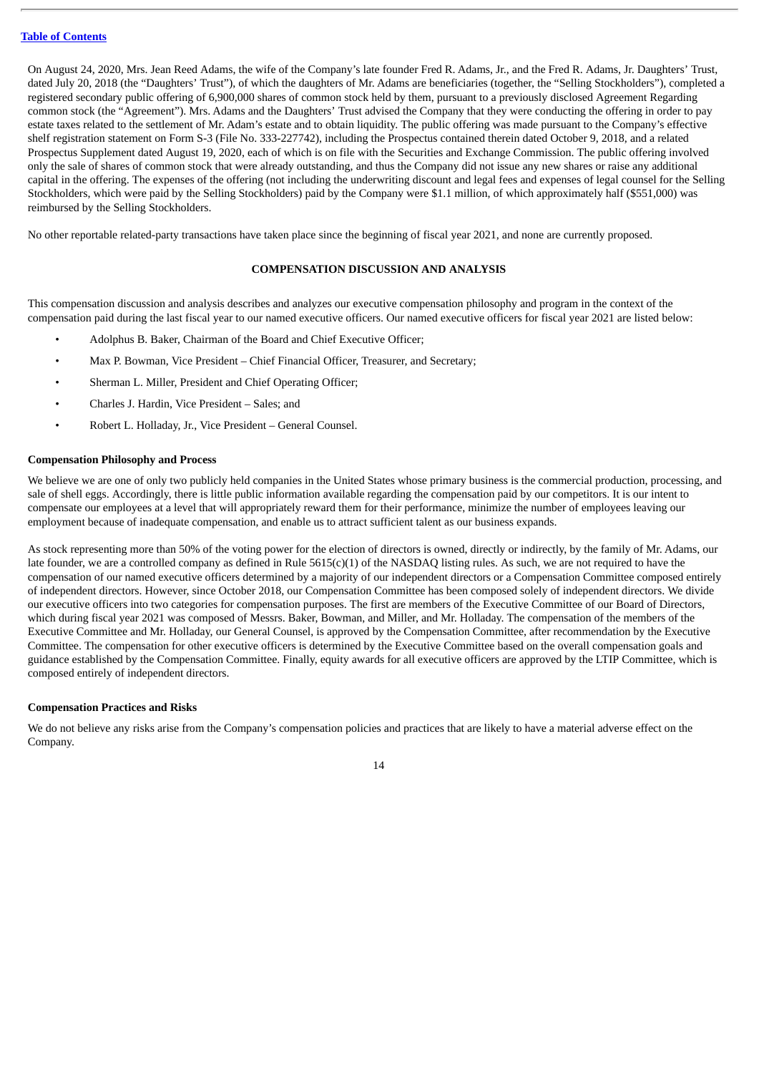On August 24, 2020, Mrs. Jean Reed Adams, the wife of the Company's late founder Fred R. Adams, Jr., and the Fred R. Adams, Jr. Daughters' Trust, dated July 20, 2018 (the "Daughters' Trust"), of which the daughters of Mr. Adams are beneficiaries (together, the "Selling Stockholders"), completed a registered secondary public offering of 6,900,000 shares of common stock held by them, pursuant to a previously disclosed Agreement Regarding common stock (the "Agreement"). Mrs. Adams and the Daughters' Trust advised the Company that they were conducting the offering in order to pay estate taxes related to the settlement of Mr. Adam's estate and to obtain liquidity. The public offering was made pursuant to the Company's effective shelf registration statement on Form S-3 (File No. 333-227742), including the Prospectus contained therein dated October 9, 2018, and a related Prospectus Supplement dated August 19, 2020, each of which is on file with the Securities and Exchange Commission. The public offering involved only the sale of shares of common stock that were already outstanding, and thus the Company did not issue any new shares or raise any additional capital in the offering. The expenses of the offering (not including the underwriting discount and legal fees and expenses of legal counsel for the Selling Stockholders, which were paid by the Selling Stockholders) paid by the Company were \$1.1 million, of which approximately half (\$551,000) was reimbursed by the Selling Stockholders.

No other reportable related-party transactions have taken place since the beginning of fiscal year 2021, and none are currently proposed.

## **COMPENSATION DISCUSSION AND ANALYSIS**

This compensation discussion and analysis describes and analyzes our executive compensation philosophy and program in the context of the compensation paid during the last fiscal year to our named executive officers. Our named executive officers for fiscal year 2021 are listed below:

- Adolphus B. Baker, Chairman of the Board and Chief Executive Officer;
- Max P. Bowman, Vice President Chief Financial Officer, Treasurer, and Secretary;
- Sherman L. Miller, President and Chief Operating Officer;
- Charles J. Hardin, Vice President Sales; and
- Robert L. Holladay, Jr., Vice President General Counsel.

#### **Compensation Philosophy and Process**

We believe we are one of only two publicly held companies in the United States whose primary business is the commercial production, processing, and sale of shell eggs. Accordingly, there is little public information available regarding the compensation paid by our competitors. It is our intent to compensate our employees at a level that will appropriately reward them for their performance, minimize the number of employees leaving our employment because of inadequate compensation, and enable us to attract sufficient talent as our business expands.

As stock representing more than 50% of the voting power for the election of directors is owned, directly or indirectly, by the family of Mr. Adams, our late founder, we are a controlled company as defined in Rule 5615(c)(1) of the NASDAQ listing rules. As such, we are not required to have the compensation of our named executive officers determined by a majority of our independent directors or a Compensation Committee composed entirely of independent directors. However, since October 2018, our Compensation Committee has been composed solely of independent directors. We divide our executive officers into two categories for compensation purposes. The first are members of the Executive Committee of our Board of Directors, which during fiscal year 2021 was composed of Messrs. Baker, Bowman, and Miller, and Mr. Holladay. The compensation of the members of the Executive Committee and Mr. Holladay, our General Counsel, is approved by the Compensation Committee, after recommendation by the Executive Committee. The compensation for other executive officers is determined by the Executive Committee based on the overall compensation goals and guidance established by the Compensation Committee. Finally, equity awards for all executive officers are approved by the LTIP Committee, which is composed entirely of independent directors.

#### **Compensation Practices and Risks**

We do not believe any risks arise from the Company's compensation policies and practices that are likely to have a material adverse effect on the Company.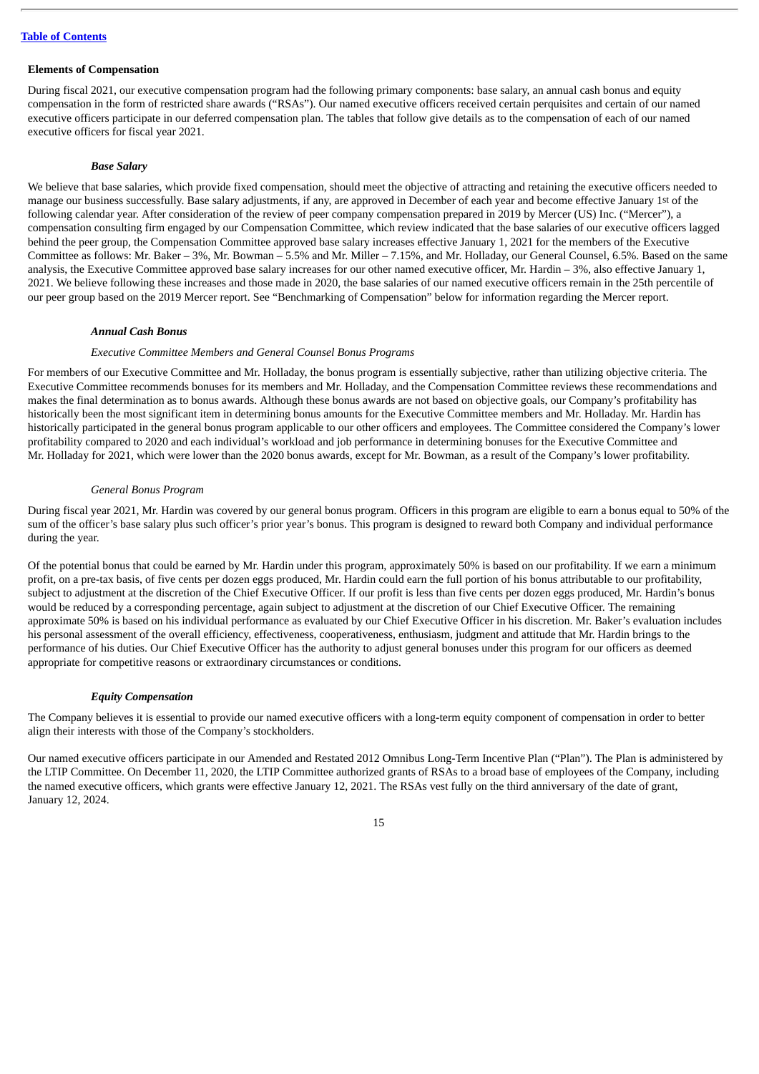## **Elements of Compensation**

During fiscal 2021, our executive compensation program had the following primary components: base salary, an annual cash bonus and equity compensation in the form of restricted share awards ("RSAs"). Our named executive officers received certain perquisites and certain of our named executive officers participate in our deferred compensation plan. The tables that follow give details as to the compensation of each of our named executive officers for fiscal year 2021.

#### *Base Salary*

We believe that base salaries, which provide fixed compensation, should meet the objective of attracting and retaining the executive officers needed to manage our business successfully. Base salary adjustments, if any, are approved in December of each year and become effective January 1st of the following calendar year. After consideration of the review of peer company compensation prepared in 2019 by Mercer (US) Inc. ("Mercer"), a compensation consulting firm engaged by our Compensation Committee, which review indicated that the base salaries of our executive officers lagged behind the peer group, the Compensation Committee approved base salary increases effective January 1, 2021 for the members of the Executive Committee as follows: Mr. Baker – 3%, Mr. Bowman – 5.5% and Mr. Miller – 7.15%, and Mr. Holladay, our General Counsel, 6.5%. Based on the same analysis, the Executive Committee approved base salary increases for our other named executive officer, Mr. Hardin - 3%, also effective January 1, 2021. We believe following these increases and those made in 2020, the base salaries of our named executive officers remain in the 25th percentile of our peer group based on the 2019 Mercer report. See "Benchmarking of Compensation" below for information regarding the Mercer report.

#### *Annual Cash Bonus*

#### *Executive Committee Members and General Counsel Bonus Programs*

For members of our Executive Committee and Mr. Holladay, the bonus program is essentially subjective, rather than utilizing objective criteria. The Executive Committee recommends bonuses for its members and Mr. Holladay, and the Compensation Committee reviews these recommendations and makes the final determination as to bonus awards. Although these bonus awards are not based on objective goals, our Company's profitability has historically been the most significant item in determining bonus amounts for the Executive Committee members and Mr. Holladay. Mr. Hardin has historically participated in the general bonus program applicable to our other officers and employees. The Committee considered the Company's lower profitability compared to 2020 and each individual's workload and job performance in determining bonuses for the Executive Committee and Mr. Holladay for 2021, which were lower than the 2020 bonus awards, except for Mr. Bowman, as a result of the Company's lower profitability.

#### *General Bonus Program*

During fiscal year 2021, Mr. Hardin was covered by our general bonus program. Officers in this program are eligible to earn a bonus equal to 50% of the sum of the officer's base salary plus such officer's prior year's bonus. This program is designed to reward both Company and individual performance during the year.

Of the potential bonus that could be earned by Mr. Hardin under this program, approximately 50% is based on our profitability. If we earn a minimum profit, on a pre-tax basis, of five cents per dozen eggs produced, Mr. Hardin could earn the full portion of his bonus attributable to our profitability, subject to adjustment at the discretion of the Chief Executive Officer. If our profit is less than five cents per dozen eggs produced, Mr. Hardin's bonus would be reduced by a corresponding percentage, again subject to adjustment at the discretion of our Chief Executive Officer. The remaining approximate 50% is based on his individual performance as evaluated by our Chief Executive Officer in his discretion. Mr. Baker's evaluation includes his personal assessment of the overall efficiency, effectiveness, cooperativeness, enthusiasm, judgment and attitude that Mr. Hardin brings to the performance of his duties. Our Chief Executive Officer has the authority to adjust general bonuses under this program for our officers as deemed appropriate for competitive reasons or extraordinary circumstances or conditions.

#### *Equity Compensation*

The Company believes it is essential to provide our named executive officers with a long-term equity component of compensation in order to better align their interests with those of the Company's stockholders.

Our named executive officers participate in our Amended and Restated 2012 Omnibus Long-Term Incentive Plan ("Plan"). The Plan is administered by the LTIP Committee. On December 11, 2020, the LTIP Committee authorized grants of RSAs to a broad base of employees of the Company, including the named executive officers, which grants were effective January 12, 2021. The RSAs vest fully on the third anniversary of the date of grant, January 12, 2024.

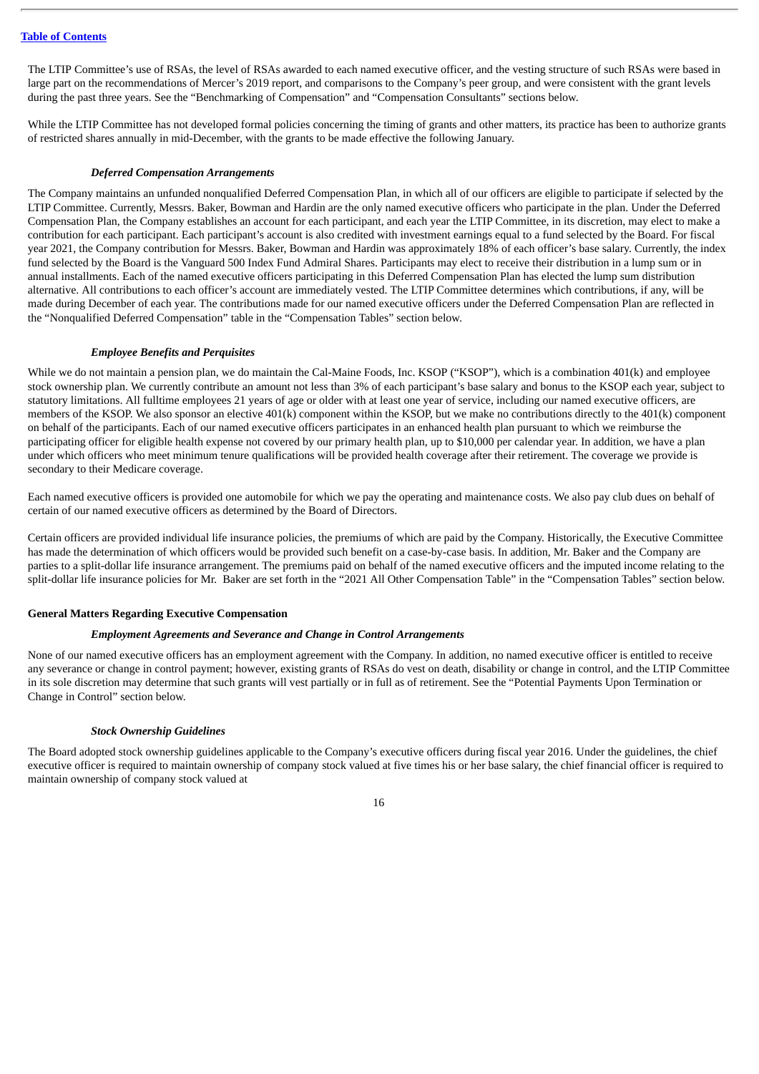The LTIP Committee's use of RSAs, the level of RSAs awarded to each named executive officer, and the vesting structure of such RSAs were based in large part on the recommendations of Mercer's 2019 report, and comparisons to the Company's peer group, and were consistent with the grant levels during the past three years. See the "Benchmarking of Compensation" and "Compensation Consultants" sections below.

While the LTIP Committee has not developed formal policies concerning the timing of grants and other matters, its practice has been to authorize grants of restricted shares annually in mid-December, with the grants to be made effective the following January.

### *Deferred Compensation Arrangements*

The Company maintains an unfunded nonqualified Deferred Compensation Plan, in which all of our officers are eligible to participate if selected by the LTIP Committee. Currently, Messrs. Baker, Bowman and Hardin are the only named executive officers who participate in the plan. Under the Deferred Compensation Plan, the Company establishes an account for each participant, and each year the LTIP Committee, in its discretion, may elect to make a contribution for each participant. Each participant's account is also credited with investment earnings equal to a fund selected by the Board. For fiscal year 2021, the Company contribution for Messrs. Baker, Bowman and Hardin was approximately 18% of each officer's base salary. Currently, the index fund selected by the Board is the Vanguard 500 Index Fund Admiral Shares. Participants may elect to receive their distribution in a lump sum or in annual installments. Each of the named executive officers participating in this Deferred Compensation Plan has elected the lump sum distribution alternative. All contributions to each officer's account are immediately vested. The LTIP Committee determines which contributions, if any, will be made during December of each year. The contributions made for our named executive officers under the Deferred Compensation Plan are reflected in the "Nonqualified Deferred Compensation" table in the "Compensation Tables" section below.

#### *Employee Benefits and Perquisites*

While we do not maintain a pension plan, we do maintain the Cal-Maine Foods, Inc. KSOP ("KSOP"), which is a combination 401(k) and employee stock ownership plan. We currently contribute an amount not less than 3% of each participant's base salary and bonus to the KSOP each year, subject to statutory limitations. All fulltime employees 21 years of age or older with at least one year of service, including our named executive officers, are members of the KSOP. We also sponsor an elective 401(k) component within the KSOP, but we make no contributions directly to the 401(k) component on behalf of the participants. Each of our named executive officers participates in an enhanced health plan pursuant to which we reimburse the participating officer for eligible health expense not covered by our primary health plan, up to \$10,000 per calendar year. In addition, we have a plan under which officers who meet minimum tenure qualifications will be provided health coverage after their retirement. The coverage we provide is secondary to their Medicare coverage.

Each named executive officers is provided one automobile for which we pay the operating and maintenance costs. We also pay club dues on behalf of certain of our named executive officers as determined by the Board of Directors.

Certain officers are provided individual life insurance policies, the premiums of which are paid by the Company. Historically, the Executive Committee has made the determination of which officers would be provided such benefit on a case-by-case basis. In addition, Mr. Baker and the Company are parties to a split-dollar life insurance arrangement. The premiums paid on behalf of the named executive officers and the imputed income relating to the split-dollar life insurance policies for Mr. Baker are set forth in the "2021 All Other Compensation Table" in the "Compensation Tables" section below.

#### **General Matters Regarding Executive Compensation**

#### *Employment Agreements and Severance and Change in Control Arrangements*

None of our named executive officers has an employment agreement with the Company. In addition, no named executive officer is entitled to receive any severance or change in control payment; however, existing grants of RSAs do vest on death, disability or change in control, and the LTIP Committee in its sole discretion may determine that such grants will vest partially or in full as of retirement. See the "Potential Payments Upon Termination or Change in Control" section below.

#### *Stock Ownership Guidelines*

The Board adopted stock ownership guidelines applicable to the Company's executive officers during fiscal year 2016. Under the guidelines, the chief executive officer is required to maintain ownership of company stock valued at five times his or her base salary, the chief financial officer is required to maintain ownership of company stock valued at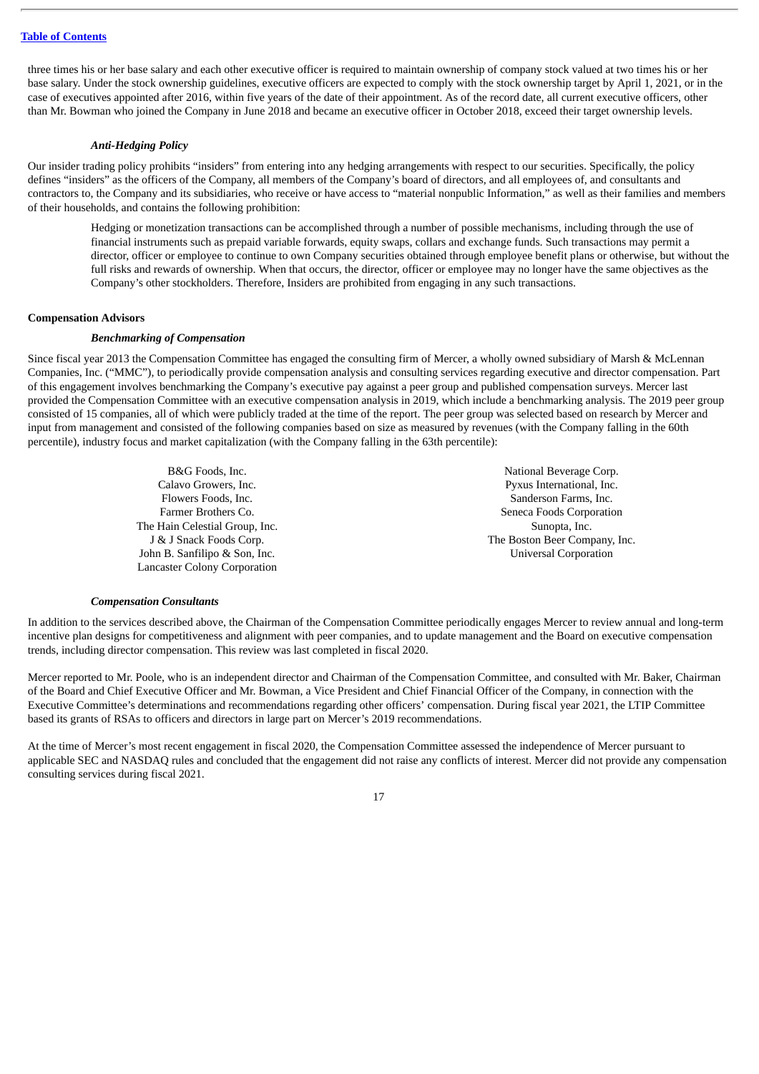three times his or her base salary and each other executive officer is required to maintain ownership of company stock valued at two times his or her base salary. Under the stock ownership guidelines, executive officers are expected to comply with the stock ownership target by April 1, 2021, or in the case of executives appointed after 2016, within five years of the date of their appointment. As of the record date, all current executive officers, other than Mr. Bowman who joined the Company in June 2018 and became an executive officer in October 2018, exceed their target ownership levels.

#### *Anti-Hedging Policy*

Our insider trading policy prohibits "insiders" from entering into any hedging arrangements with respect to our securities. Specifically, the policy defines "insiders" as the officers of the Company, all members of the Company's board of directors, and all employees of, and consultants and contractors to, the Company and its subsidiaries, who receive or have access to "material nonpublic Information," as well as their families and members of their households, and contains the following prohibition:

Hedging or monetization transactions can be accomplished through a number of possible mechanisms, including through the use of financial instruments such as prepaid variable forwards, equity swaps, collars and exchange funds. Such transactions may permit a director, officer or employee to continue to own Company securities obtained through employee benefit plans or otherwise, but without the full risks and rewards of ownership. When that occurs, the director, officer or employee may no longer have the same objectives as the Company's other stockholders. Therefore, Insiders are prohibited from engaging in any such transactions.

#### **Compensation Advisors**

#### *Benchmarking of Compensation*

Since fiscal year 2013 the Compensation Committee has engaged the consulting firm of Mercer, a wholly owned subsidiary of Marsh & McLennan Companies, Inc. ("MMC"), to periodically provide compensation analysis and consulting services regarding executive and director compensation. Part of this engagement involves benchmarking the Company's executive pay against a peer group and published compensation surveys. Mercer last provided the Compensation Committee with an executive compensation analysis in 2019, which include a benchmarking analysis. The 2019 peer group consisted of 15 companies, all of which were publicly traded at the time of the report. The peer group was selected based on research by Mercer and input from management and consisted of the following companies based on size as measured by revenues (with the Company falling in the 60th percentile), industry focus and market capitalization (with the Company falling in the 63th percentile):

> The Hain Celestial Group, Inc. The Hain Celestial Group, Inc. Sunopta, Inc. John B. Sanfilipo & Son, Inc. Universal Corporation Lancaster Colony Corporation

B&G Foods, Inc. 2008 and 2008 and 2008 and 2008 and 2008 and 2008 and 2008 and 2008 and 2008 and 2008 and 2008 and 2008 and 2008 and 2008 and 2008 and 2008 and 2008 and 2008 and 2008 and 2008 and 2008 and 2008 and 2008 and Calavo Growers, Inc. Pyxus International, Inc. Flowers Foods, Inc. Sanderson Farms, Inc. Sanderson Farms, Inc. Farmer Brothers Co. Seneca Foods Corporation J & J Snack Foods Corp. The Boston Beer Company, Inc.

#### *Compensation Consultants*

In addition to the services described above, the Chairman of the Compensation Committee periodically engages Mercer to review annual and long-term incentive plan designs for competitiveness and alignment with peer companies, and to update management and the Board on executive compensation trends, including director compensation. This review was last completed in fiscal 2020.

Mercer reported to Mr. Poole, who is an independent director and Chairman of the Compensation Committee, and consulted with Mr. Baker, Chairman of the Board and Chief Executive Officer and Mr. Bowman, a Vice President and Chief Financial Officer of the Company, in connection with the Executive Committee's determinations and recommendations regarding other officers' compensation. During fiscal year 2021, the LTIP Committee based its grants of RSAs to officers and directors in large part on Mercer's 2019 recommendations.

At the time of Mercer's most recent engagement in fiscal 2020, the Compensation Committee assessed the independence of Mercer pursuant to applicable SEC and NASDAQ rules and concluded that the engagement did not raise any conflicts of interest. Mercer did not provide any compensation consulting services during fiscal 2021.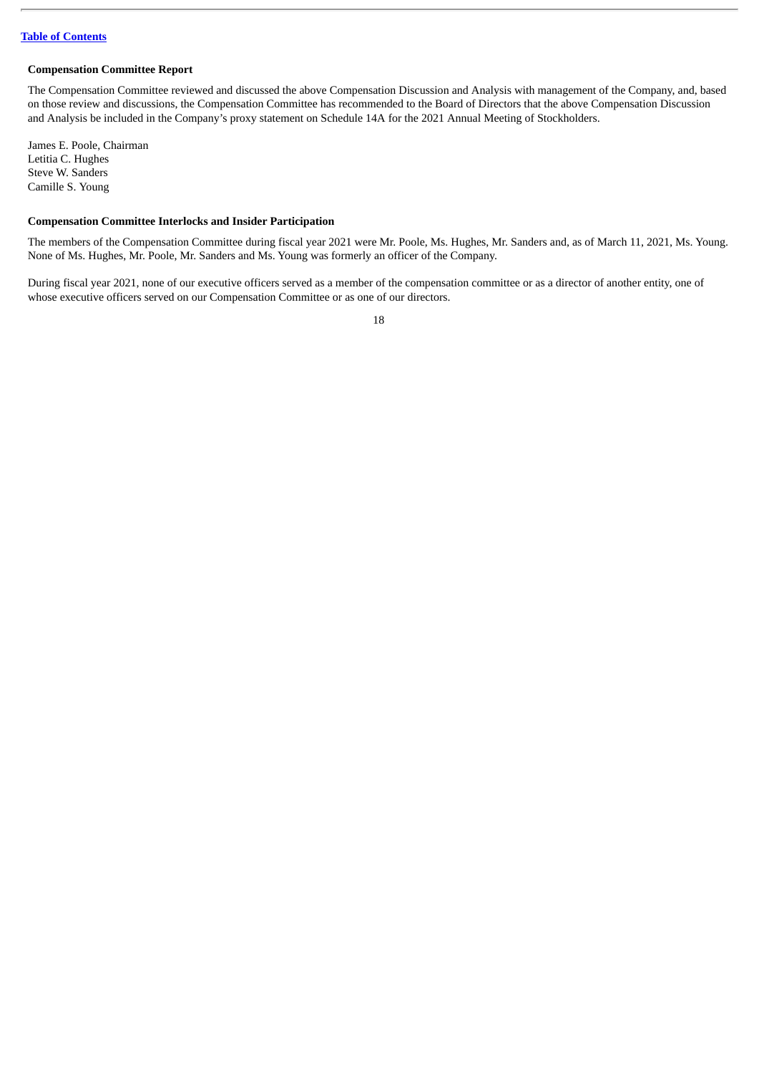#### **Compensation Committee Report**

The Compensation Committee reviewed and discussed the above Compensation Discussion and Analysis with management of the Company, and, based on those review and discussions, the Compensation Committee has recommended to the Board of Directors that the above Compensation Discussion and Analysis be included in the Company's proxy statement on Schedule 14A for the 2021 Annual Meeting of Stockholders.

James E. Poole, Chairman Letitia C. Hughes Steve W. Sanders Camille S. Young

#### **Compensation Committee Interlocks and Insider Participation**

The members of the Compensation Committee during fiscal year 2021 were Mr. Poole, Ms. Hughes, Mr. Sanders and, as of March 11, 2021, Ms. Young. None of Ms. Hughes, Mr. Poole, Mr. Sanders and Ms. Young was formerly an officer of the Company.

During fiscal year 2021, none of our executive officers served as a member of the compensation committee or as a director of another entity, one of whose executive officers served on our Compensation Committee or as one of our directors.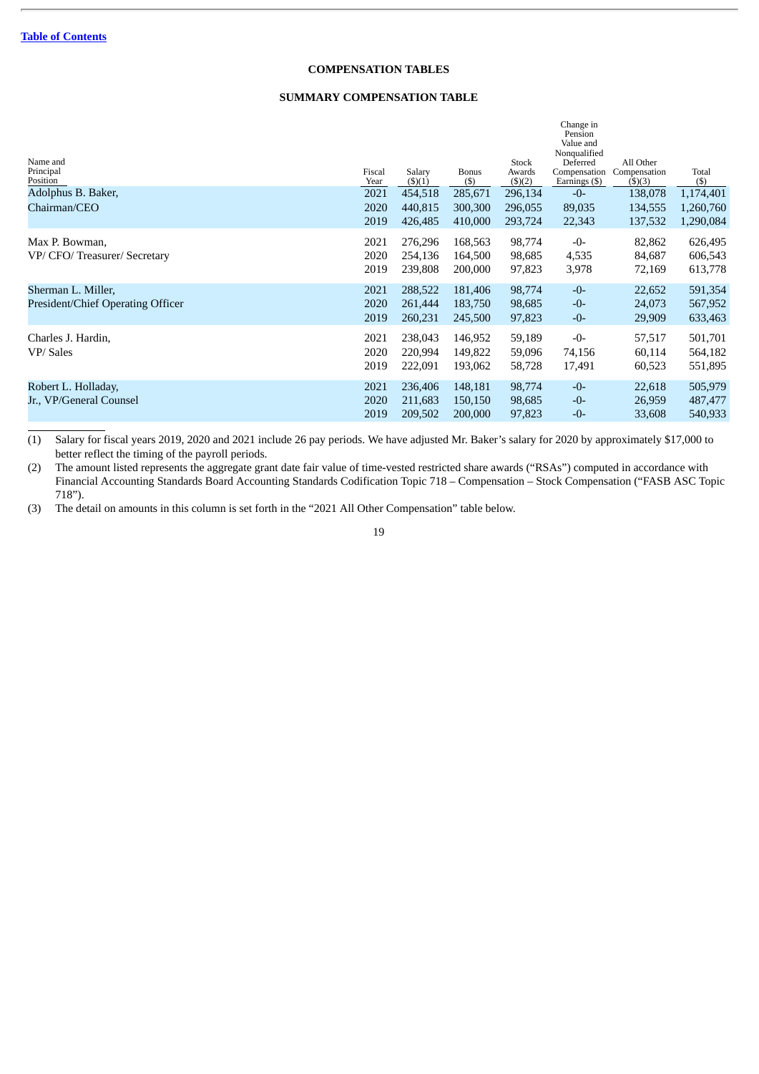## **COMPENSATION TABLES**

## **SUMMARY COMPENSATION TABLE**

| Name and<br>Principal<br>Position<br>Adolphus B. Baker, | Fiscal<br>Year<br>2021 | Salary<br>$($ \$ $)(1)$<br>454,518 | <b>Bonus</b><br>(5)<br>285,671 | Stock<br>Awards<br>$($ \$ $)(2)$<br>296,134 | Change in<br>Pension<br>Value and<br>Nonqualified<br>Deferred<br>Compensation<br>Earnings (\$)<br>$-0-$ | All Other<br>Compensation<br>$($ \$ $)(3)$<br>138,078 | Total<br>$($ \$<br>1,174,401  |
|---------------------------------------------------------|------------------------|------------------------------------|--------------------------------|---------------------------------------------|---------------------------------------------------------------------------------------------------------|-------------------------------------------------------|-------------------------------|
| Chairman/CEO                                            | 2020<br>2019           | 440,815<br>426,485                 | 300,300<br>410,000             | 296,055<br>293,724                          | 89,035<br>22,343                                                                                        | 134,555<br>137,532                                    | 1,260,760<br>1,290,084        |
| Max P. Bowman,<br>VP/ CFO/ Treasurer/ Secretary         | 2021<br>2020<br>2019   | 276,296<br>254.136<br>239,808      | 168,563<br>164,500<br>200,000  | 98,774<br>98,685<br>97,823                  | $-0-$<br>4,535<br>3,978                                                                                 | 82,862<br>84,687<br>72,169                            | 626,495<br>606,543<br>613,778 |
| Sherman L. Miller,<br>President/Chief Operating Officer | 2021<br>2020<br>2019   | 288,522<br>261.444<br>260,231      | 181,406<br>183,750<br>245,500  | 98,774<br>98,685<br>97,823                  | $-0-$<br>$-0-$<br>$-0-$                                                                                 | 22,652<br>24,073<br>29,909                            | 591,354<br>567,952<br>633,463 |
| Charles J. Hardin,<br>VP/Sales                          | 2021<br>2020<br>2019   | 238,043<br>220,994<br>222,091      | 146,952<br>149,822<br>193,062  | 59,189<br>59,096<br>58,728                  | $-0-$<br>74,156<br>17,491                                                                               | 57,517<br>60,114<br>60,523                            | 501,701<br>564,182<br>551,895 |
| Robert L. Holladay,<br>Jr., VP/General Counsel          | 2021<br>2020<br>2019   | 236,406<br>211,683<br>209,502      | 148,181<br>150,150<br>200,000  | 98,774<br>98,685<br>97,823                  | $-0-$<br>$-0-$<br>$-0-$                                                                                 | 22,618<br>26,959<br>33,608                            | 505,979<br>487,477<br>540,933 |

(1) Salary for fiscal years 2019, 2020 and 2021 include 26 pay periods. We have adjusted Mr. Baker's salary for 2020 by approximately \$17,000 to better reflect the timing of the payroll periods.

(2) The amount listed represents the aggregate grant date fair value of time-vested restricted share awards ("RSAs") computed in accordance with Financial Accounting Standards Board Accounting Standards Codification Topic 718 – Compensation – Stock Compensation ("FASB ASC Topic 718").

(3) The detail on amounts in this column is set forth in the "2021 All Other Compensation" table below.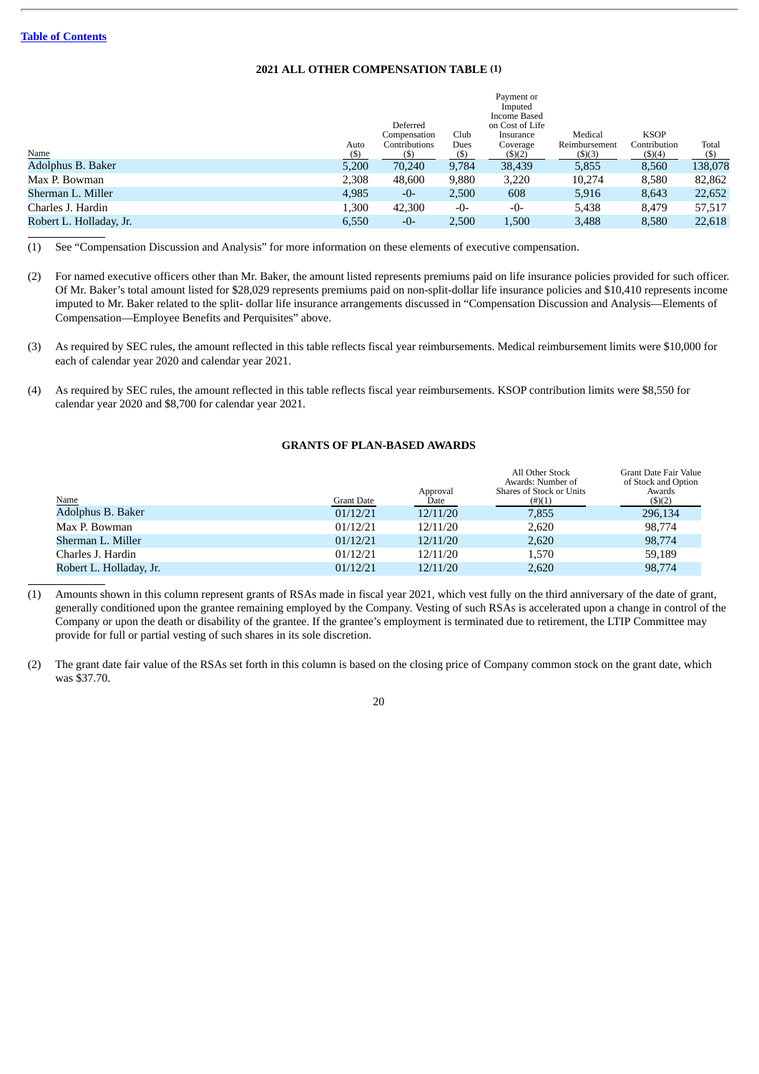## **2021 ALL OTHER COMPENSATION TABLE (1)**

|                         |       |               |       | Payment or              |               |              |         |
|-------------------------|-------|---------------|-------|-------------------------|---------------|--------------|---------|
|                         |       |               |       | Imputed<br>Income Based |               |              |         |
|                         |       | Deferred      |       | on Cost of Life         |               |              |         |
|                         |       | Compensation  | Club  | Insurance               | Medical       | <b>KSOP</b>  |         |
|                         | Auto  | Contributions | Dues  | Coverage                | Reimbursement | Contribution | Total   |
| Name                    | (S)   | (\$)          | (S)   | $($ \$ $)(2)$           | $($ \$ $)(3)$ | (\$)(4)      | (\$)    |
| Adolphus B. Baker       | 5,200 | 70,240        | 9,784 | 38,439                  | 5,855         | 8,560        | 138,078 |
| Max P. Bowman           | 2,308 | 48,600        | 9,880 | 3,220                   | 10,274        | 8,580        | 82,862  |
| Sherman L. Miller       | 4,985 | -0-           | 2,500 | 608                     | 5,916         | 8,643        | 22,652  |
| Charles J. Hardin       | 1,300 | 42,300        | -0-   | -0-                     | 5,438         | 8,479        | 57,517  |
| Robert L. Holladay, Jr. | 6,550 | $-0-$         | 2,500 | 1,500                   | 3,488         | 8,580        | 22,618  |

(1) See "Compensation Discussion and Analysis" for more information on these elements of executive compensation.

- (2) For named executive officers other than Mr. Baker, the amount listed represents premiums paid on life insurance policies provided for such officer. Of Mr. Baker's total amount listed for \$28,029 represents premiums paid on non-split-dollar life insurance policies and \$10,410 represents income imputed to Mr. Baker related to the split- dollar life insurance arrangements discussed in "Compensation Discussion and Analysis—Elements of Compensation—Employee Benefits and Perquisites" above.
- (3) As required by SEC rules, the amount reflected in this table reflects fiscal year reimbursements. Medical reimbursement limits were \$10,000 for each of calendar year 2020 and calendar year 2021.
- (4) As required by SEC rules, the amount reflected in this table reflects fiscal year reimbursements. KSOP contribution limits were \$8,550 for calendar year 2020 and \$8,700 for calendar year 2021.

## **GRANTS OF PLAN-BASED AWARDS**

|                         |                   | Approval | All Other Stock<br>Awards: Number of<br>Shares of Stock or Units | Grant Date Fair Value<br>of Stock and Option<br>Awards |
|-------------------------|-------------------|----------|------------------------------------------------------------------|--------------------------------------------------------|
| <b>Name</b>             | <b>Grant Date</b> | Date     | $(\#)(1)$                                                        | $($ \$ $)(2)$                                          |
| Adolphus B. Baker       | 01/12/21          | 12/11/20 | 7,855                                                            | 296,134                                                |
| Max P. Bowman           | 01/12/21          | 12/11/20 | 2,620                                                            | 98,774                                                 |
| Sherman L. Miller       | 01/12/21          | 12/11/20 | 2,620                                                            | 98,774                                                 |
| Charles J. Hardin       | 01/12/21          | 12/11/20 | 1.570                                                            | 59.189                                                 |
| Robert L. Holladay, Jr. | 01/12/21          | 12/11/20 | 2,620                                                            | 98,774                                                 |

- (1) Amounts shown in this column represent grants of RSAs made in fiscal year 2021, which vest fully on the third anniversary of the date of grant, generally conditioned upon the grantee remaining employed by the Company. Vesting of such RSAs is accelerated upon a change in control of the Company or upon the death or disability of the grantee. If the grantee's employment is terminated due to retirement, the LTIP Committee may provide for full or partial vesting of such shares in its sole discretion.
- (2) The grant date fair value of the RSAs set forth in this column is based on the closing price of Company common stock on the grant date, which was \$37.70.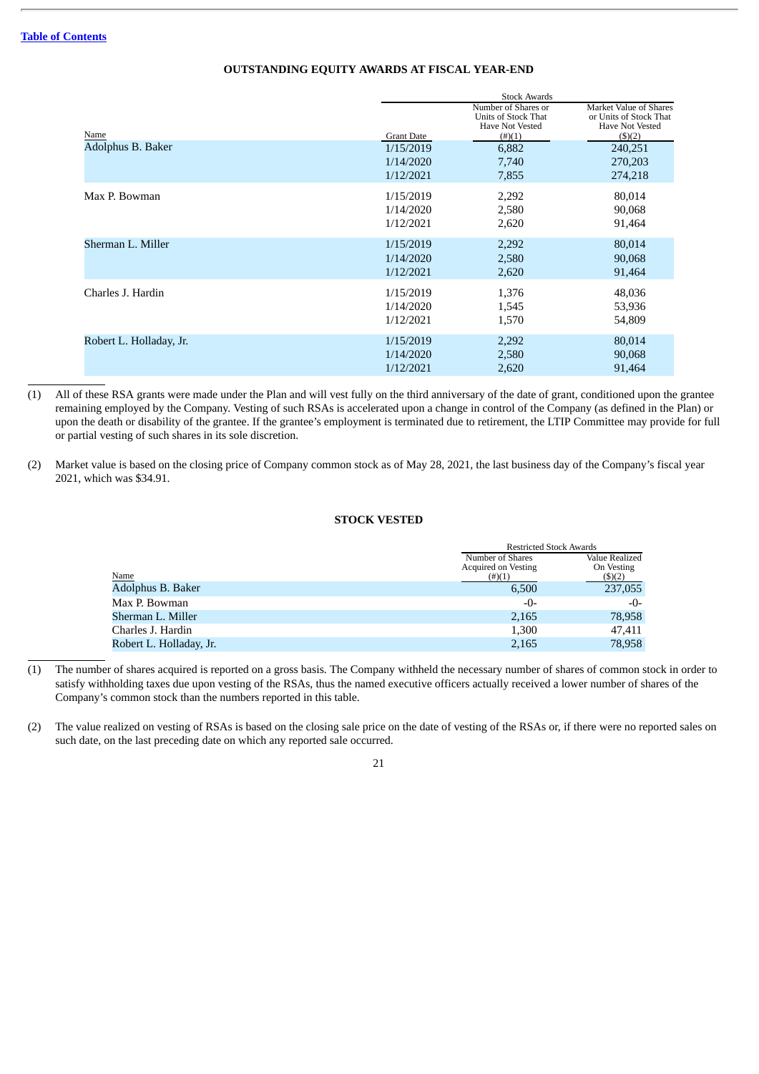|                         |                   | <b>Stock Awards</b>                                                        |                                                                                      |  |  |  |  |
|-------------------------|-------------------|----------------------------------------------------------------------------|--------------------------------------------------------------------------------------|--|--|--|--|
| Name                    | <b>Grant Date</b> | Number of Shares or<br>Units of Stock That<br>Have Not Vested<br>$(\#)(1)$ | Market Value of Shares<br>or Units of Stock That<br>Have Not Vested<br>$($ \$ $)(2)$ |  |  |  |  |
| Adolphus B. Baker       | 1/15/2019         | 6,882                                                                      | 240,251                                                                              |  |  |  |  |
|                         | 1/14/2020         | 7,740                                                                      | 270,203                                                                              |  |  |  |  |
|                         | 1/12/2021         | 7,855                                                                      | 274,218                                                                              |  |  |  |  |
| Max P. Bowman           | 1/15/2019         | 2,292                                                                      | 80,014                                                                               |  |  |  |  |
|                         | 1/14/2020         | 2,580                                                                      | 90,068                                                                               |  |  |  |  |
|                         | 1/12/2021         | 2,620                                                                      | 91,464                                                                               |  |  |  |  |
| Sherman L. Miller       | 1/15/2019         | 2,292                                                                      | 80,014                                                                               |  |  |  |  |
|                         | 1/14/2020         | 2,580                                                                      | 90,068                                                                               |  |  |  |  |
|                         | 1/12/2021         | 2,620                                                                      | 91,464                                                                               |  |  |  |  |
| Charles J. Hardin       | 1/15/2019         | 1,376                                                                      | 48,036                                                                               |  |  |  |  |
|                         | 1/14/2020         | 1,545                                                                      | 53,936                                                                               |  |  |  |  |
|                         | 1/12/2021         | 1,570                                                                      | 54,809                                                                               |  |  |  |  |
| Robert L. Holladay, Jr. | 1/15/2019         | 2,292                                                                      | 80,014                                                                               |  |  |  |  |
|                         | 1/14/2020         | 2,580                                                                      | 90,068                                                                               |  |  |  |  |
|                         | 1/12/2021         | 2,620                                                                      | 91,464                                                                               |  |  |  |  |

## **OUTSTANDING EQUITY AWARDS AT FISCAL YEAR-END**

(1) All of these RSA grants were made under the Plan and will vest fully on the third anniversary of the date of grant, conditioned upon the grantee remaining employed by the Company. Vesting of such RSAs is accelerated upon a change in control of the Company (as defined in the Plan) or upon the death or disability of the grantee. If the grantee's employment is terminated due to retirement, the LTIP Committee may provide for full or partial vesting of such shares in its sole discretion.

(2) Market value is based on the closing price of Company common stock as of May 28, 2021, the last business day of the Company's fiscal year 2021, which was \$34.91.

## **STOCK VESTED**

|                         |                            | <b>Restricted Stock Awards</b> |
|-------------------------|----------------------------|--------------------------------|
|                         | Number of Shares           | Value Realized                 |
|                         | <b>Acquired on Vesting</b> | On Vesting                     |
| Name                    | $(\#)(1)$                  | (5)(2)                         |
| Adolphus B. Baker       | 6,500                      | 237,055                        |
| Max P. Bowman           | -0-                        | $-0-$                          |
| Sherman L. Miller       | 2,165                      | 78,958                         |
| Charles J. Hardin       | 1,300                      | 47.411                         |
| Robert L. Holladay, Jr. | 2,165                      | 78,958                         |

- (1) The number of shares acquired is reported on a gross basis. The Company withheld the necessary number of shares of common stock in order to satisfy withholding taxes due upon vesting of the RSAs, thus the named executive officers actually received a lower number of shares of the Company's common stock than the numbers reported in this table.
- (2) The value realized on vesting of RSAs is based on the closing sale price on the date of vesting of the RSAs or, if there were no reported sales on such date, on the last preceding date on which any reported sale occurred.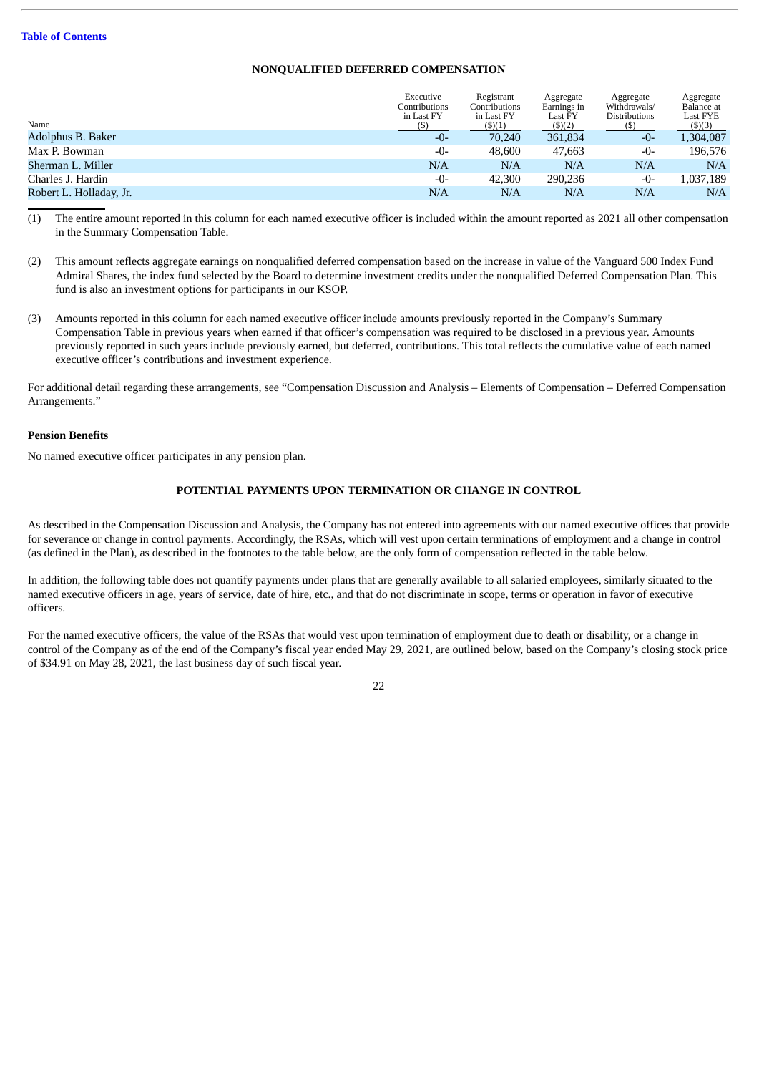## **NONQUALIFIED DEFERRED COMPENSATION**

|                         | Executive<br>Contributions<br>in Last FY | Registrant<br>Contributions<br>in Last FY | Aggregate<br>Earnings in<br>Last FY | Aggregate<br>Withdrawals/<br><b>Distributions</b> | Aggregate<br>Balance at<br>Last FYE |
|-------------------------|------------------------------------------|-------------------------------------------|-------------------------------------|---------------------------------------------------|-------------------------------------|
| Name                    | (\$)                                     | $($ \$ $)(1)$                             | $($ \$ $)(2)$                       |                                                   | $($ \$ $)(3)$                       |
| Adolphus B. Baker       | $-0-$                                    | 70.240                                    | 361,834                             | -0-                                               | 1,304,087                           |
| Max P. Bowman           | $-0-$                                    | 48,600                                    | 47,663                              | -0-                                               | 196,576                             |
| Sherman L. Miller       | N/A                                      | N/A                                       | N/A                                 | N/A                                               | N/A                                 |
| Charles J. Hardin       | $-0-$                                    | 42,300                                    | 290,236                             | -0-                                               | 1,037,189                           |
| Robert L. Holladay, Jr. | N/A                                      | N/A                                       | N/A                                 | N/A                                               | N/A                                 |
|                         |                                          |                                           |                                     |                                                   |                                     |

(1) The entire amount reported in this column for each named executive officer is included within the amount reported as 2021 all other compensation in the Summary Compensation Table.

- (2) This amount reflects aggregate earnings on nonqualified deferred compensation based on the increase in value of the Vanguard 500 Index Fund Admiral Shares, the index fund selected by the Board to determine investment credits under the nonqualified Deferred Compensation Plan. This fund is also an investment options for participants in our KSOP.
- (3) Amounts reported in this column for each named executive officer include amounts previously reported in the Company's Summary Compensation Table in previous years when earned if that officer's compensation was required to be disclosed in a previous year. Amounts previously reported in such years include previously earned, but deferred, contributions. This total reflects the cumulative value of each named executive officer's contributions and investment experience.

For additional detail regarding these arrangements, see "Compensation Discussion and Analysis – Elements of Compensation – Deferred Compensation Arrangements."

#### **Pension Benefits**

No named executive officer participates in any pension plan.

## **POTENTIAL PAYMENTS UPON TERMINATION OR CHANGE IN CONTROL**

As described in the Compensation Discussion and Analysis, the Company has not entered into agreements with our named executive offices that provide for severance or change in control payments. Accordingly, the RSAs, which will vest upon certain terminations of employment and a change in control (as defined in the Plan), as described in the footnotes to the table below, are the only form of compensation reflected in the table below.

In addition, the following table does not quantify payments under plans that are generally available to all salaried employees, similarly situated to the named executive officers in age, years of service, date of hire, etc., and that do not discriminate in scope, terms or operation in favor of executive officers.

For the named executive officers, the value of the RSAs that would vest upon termination of employment due to death or disability, or a change in control of the Company as of the end of the Company's fiscal year ended May 29, 2021, are outlined below, based on the Company's closing stock price of \$34.91 on May 28, 2021, the last business day of such fiscal year.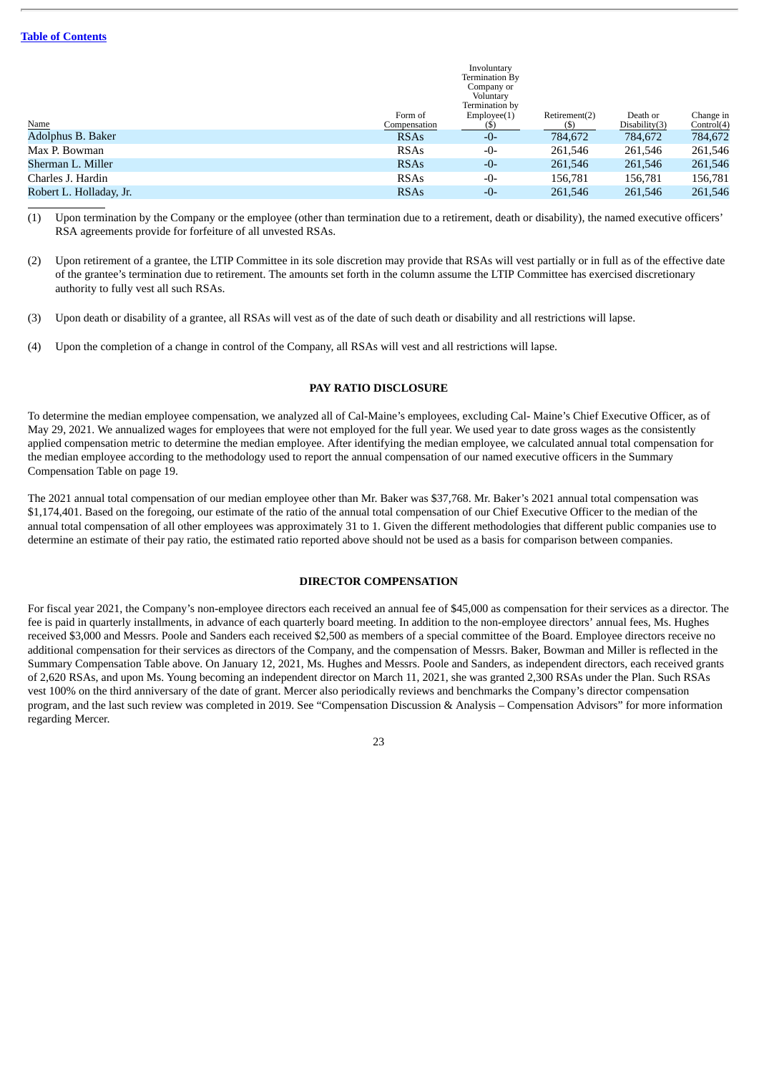|                         |              | Involuntary    |               |               |            |
|-------------------------|--------------|----------------|---------------|---------------|------------|
|                         |              | Termination By |               |               |            |
|                         |              | Company or     |               |               |            |
|                         |              | Voluntary      |               |               |            |
|                         |              | Termination by |               |               |            |
|                         | Form of      | Employee(1)    | Retirement(2) | Death or      | Change in  |
| Name                    | Compensation | (\$)           | (S)           | Disability(3) | Control(4) |
| Adolphus B. Baker       | <b>RSAs</b>  | $-0-$          | 784,672       | 784,672       | 784,672    |
| Max P. Bowman           | <b>RSAs</b>  | -0-            | 261,546       | 261,546       | 261,546    |
| Sherman L. Miller       | <b>RSAs</b>  | $-0-$          | 261,546       | 261,546       | 261,546    |
| Charles J. Hardin       | <b>RSAs</b>  | $-0-$          | 156,781       | 156,781       | 156,781    |
| Robert L. Holladay, Jr. | <b>RSAs</b>  | $-0-$          | 261,546       | 261,546       | 261,546    |
|                         |              |                |               |               |            |

(1) Upon termination by the Company or the employee (other than termination due to a retirement, death or disability), the named executive officers' RSA agreements provide for forfeiture of all unvested RSAs.

- (2) Upon retirement of a grantee, the LTIP Committee in its sole discretion may provide that RSAs will vest partially or in full as of the effective date of the grantee's termination due to retirement. The amounts set forth in the column assume the LTIP Committee has exercised discretionary authority to fully vest all such RSAs.
- (3) Upon death or disability of a grantee, all RSAs will vest as of the date of such death or disability and all restrictions will lapse.
- (4) Upon the completion of a change in control of the Company, all RSAs will vest and all restrictions will lapse.

## **PAY RATIO DISCLOSURE**

To determine the median employee compensation, we analyzed all of Cal-Maine's employees, excluding Cal- Maine's Chief Executive Officer, as of May 29, 2021. We annualized wages for employees that were not employed for the full year. We used year to date gross wages as the consistently applied compensation metric to determine the median employee. After identifying the median employee, we calculated annual total compensation for the median employee according to the methodology used to report the annual compensation of our named executive officers in the Summary Compensation Table on page 19.

The 2021 annual total compensation of our median employee other than Mr. Baker was \$37,768. Mr. Baker's 2021 annual total compensation was \$1,174,401. Based on the foregoing, our estimate of the ratio of the annual total compensation of our Chief Executive Officer to the median of the annual total compensation of all other employees was approximately 31 to 1. Given the different methodologies that different public companies use to determine an estimate of their pay ratio, the estimated ratio reported above should not be used as a basis for comparison between companies.

## **DIRECTOR COMPENSATION**

For fiscal year 2021, the Company's non-employee directors each received an annual fee of \$45,000 as compensation for their services as a director. The fee is paid in quarterly installments, in advance of each quarterly board meeting. In addition to the non-employee directors' annual fees, Ms. Hughes received \$3,000 and Messrs. Poole and Sanders each received \$2,500 as members of a special committee of the Board. Employee directors receive no additional compensation for their services as directors of the Company, and the compensation of Messrs. Baker, Bowman and Miller is reflected in the Summary Compensation Table above. On January 12, 2021, Ms. Hughes and Messrs. Poole and Sanders, as independent directors, each received grants of 2,620 RSAs, and upon Ms. Young becoming an independent director on March 11, 2021, she was granted 2,300 RSAs under the Plan. Such RSAs vest 100% on the third anniversary of the date of grant. Mercer also periodically reviews and benchmarks the Company's director compensation program, and the last such review was completed in 2019. See "Compensation Discussion & Analysis – Compensation Advisors" for more information regarding Mercer.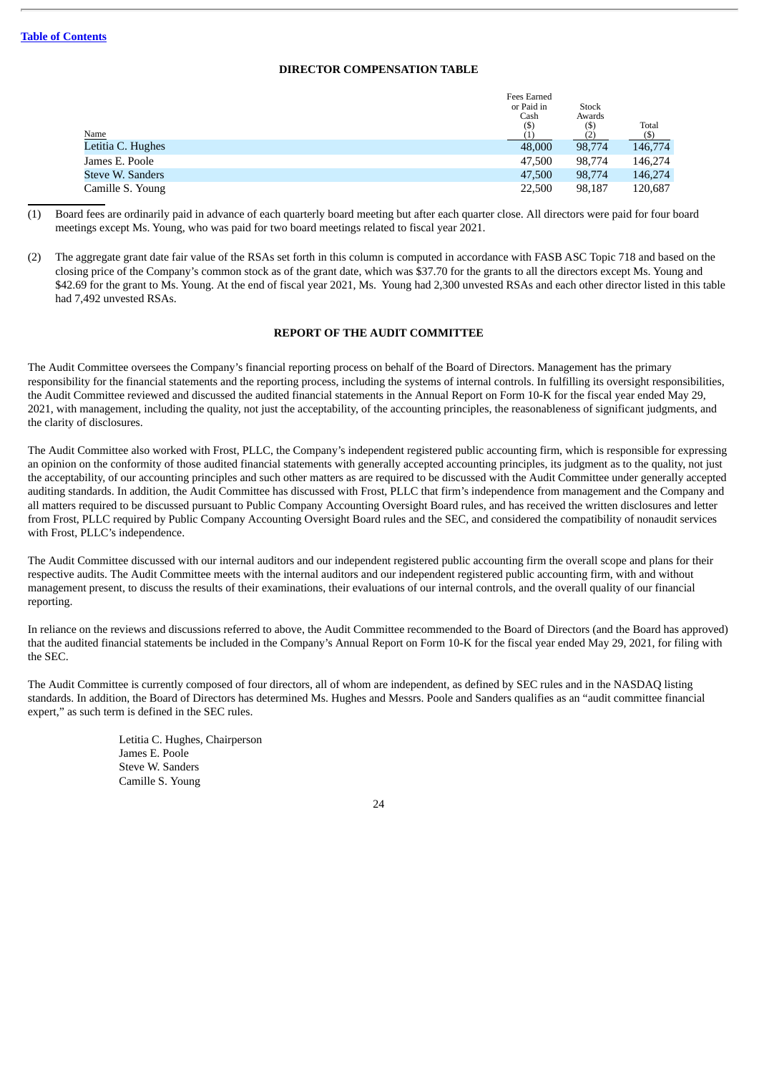## **DIRECTOR COMPENSATION TABLE**

| Fees Earned<br>or Paid in<br>Cash | Stock<br>Awards | Total          |
|-----------------------------------|-----------------|----------------|
|                                   |                 | (5)            |
| 48,000                            | 98,774          | 146,774        |
| 47,500                            | 98,774          | 146,274        |
| 47,500                            | 98,774          | 146,274        |
| 22,500                            | 98,187          | 120,687        |
|                                   | $(\$)$          | $(\mathbb{S})$ |

- (1) Board fees are ordinarily paid in advance of each quarterly board meeting but after each quarter close. All directors were paid for four board meetings except Ms. Young, who was paid for two board meetings related to fiscal year 2021.
- (2) The aggregate grant date fair value of the RSAs set forth in this column is computed in accordance with FASB ASC Topic 718 and based on the closing price of the Company's common stock as of the grant date, which was \$37.70 for the grants to all the directors except Ms. Young and \$42.69 for the grant to Ms. Young. At the end of fiscal year 2021, Ms. Young had 2,300 unvested RSAs and each other director listed in this table had 7,492 unvested RSAs.

## **REPORT OF THE AUDIT COMMITTEE**

The Audit Committee oversees the Company's financial reporting process on behalf of the Board of Directors. Management has the primary responsibility for the financial statements and the reporting process, including the systems of internal controls. In fulfilling its oversight responsibilities, the Audit Committee reviewed and discussed the audited financial statements in the Annual Report on Form 10-K for the fiscal year ended May 29, 2021, with management, including the quality, not just the acceptability, of the accounting principles, the reasonableness of significant judgments, and the clarity of disclosures.

The Audit Committee also worked with Frost, PLLC, the Company's independent registered public accounting firm, which is responsible for expressing an opinion on the conformity of those audited financial statements with generally accepted accounting principles, its judgment as to the quality, not just the acceptability, of our accounting principles and such other matters as are required to be discussed with the Audit Committee under generally accepted auditing standards. In addition, the Audit Committee has discussed with Frost, PLLC that firm's independence from management and the Company and all matters required to be discussed pursuant to Public Company Accounting Oversight Board rules, and has received the written disclosures and letter from Frost, PLLC required by Public Company Accounting Oversight Board rules and the SEC, and considered the compatibility of nonaudit services with Frost, PLLC's independence.

The Audit Committee discussed with our internal auditors and our independent registered public accounting firm the overall scope and plans for their respective audits. The Audit Committee meets with the internal auditors and our independent registered public accounting firm, with and without management present, to discuss the results of their examinations, their evaluations of our internal controls, and the overall quality of our financial reporting.

In reliance on the reviews and discussions referred to above, the Audit Committee recommended to the Board of Directors (and the Board has approved) that the audited financial statements be included in the Company's Annual Report on Form 10-K for the fiscal year ended May 29, 2021, for filing with the SEC.

The Audit Committee is currently composed of four directors, all of whom are independent, as defined by SEC rules and in the NASDAQ listing standards. In addition, the Board of Directors has determined Ms. Hughes and Messrs. Poole and Sanders qualifies as an "audit committee financial expert," as such term is defined in the SEC rules.

> Letitia C. Hughes, Chairperson James E. Poole Steve W. Sanders Camille S. Young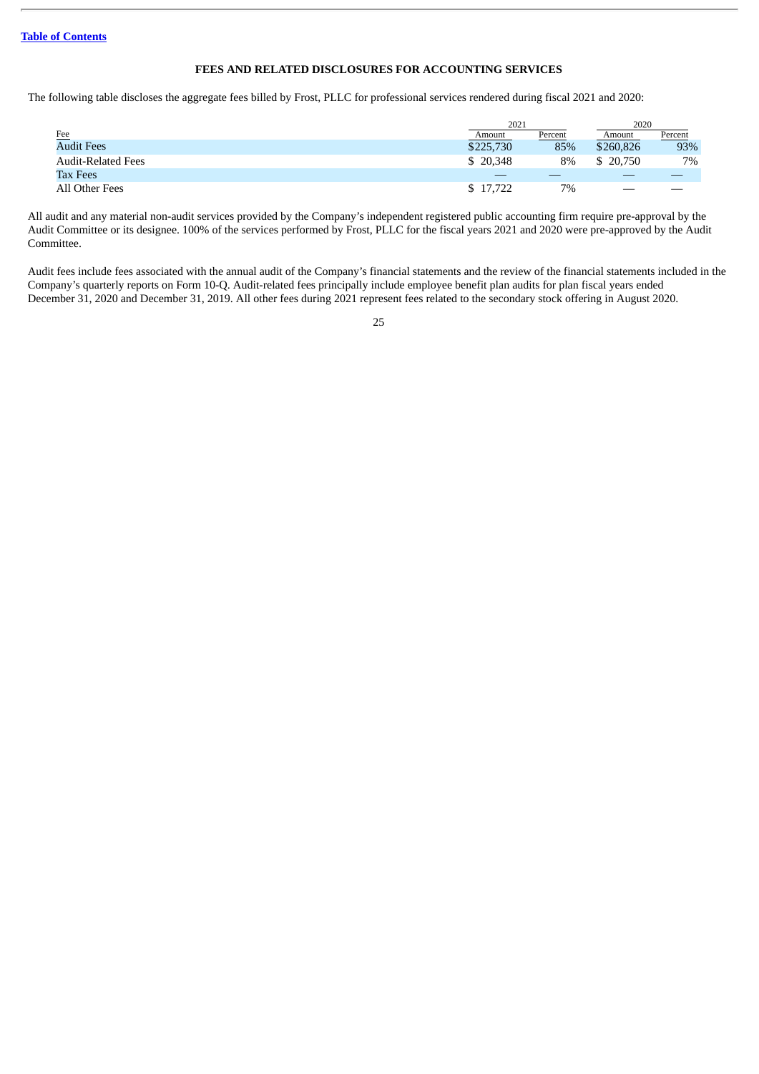## **FEES AND RELATED DISCLOSURES FOR ACCOUNTING SERVICES**

The following table discloses the aggregate fees billed by Frost, PLLC for professional services rendered during fiscal 2021 and 2020:

|                           | 2021      |         | 2020      |         |
|---------------------------|-----------|---------|-----------|---------|
| Fee                       | Amount    | Percent | Amount    | Percent |
| <b>Audit Fees</b>         | \$225,730 | 85%     | \$260,826 | 93%     |
| <b>Audit-Related Fees</b> | \$20,348  | 8%      | \$ 20,750 | 7%      |
| <b>Tax Fees</b>           |           |         |           |         |
| All Other Fees            | \$17,722  | 7%      | _         |         |

All audit and any material non-audit services provided by the Company's independent registered public accounting firm require pre-approval by the Audit Committee or its designee. 100% of the services performed by Frost, PLLC for the fiscal years 2021 and 2020 were pre-approved by the Audit Committee.

Audit fees include fees associated with the annual audit of the Company's financial statements and the review of the financial statements included in the Company's quarterly reports on Form 10-Q. Audit-related fees principally include employee benefit plan audits for plan fiscal years ended December 31, 2020 and December 31, 2019. All other fees during 2021 represent fees related to the secondary stock offering in August 2020.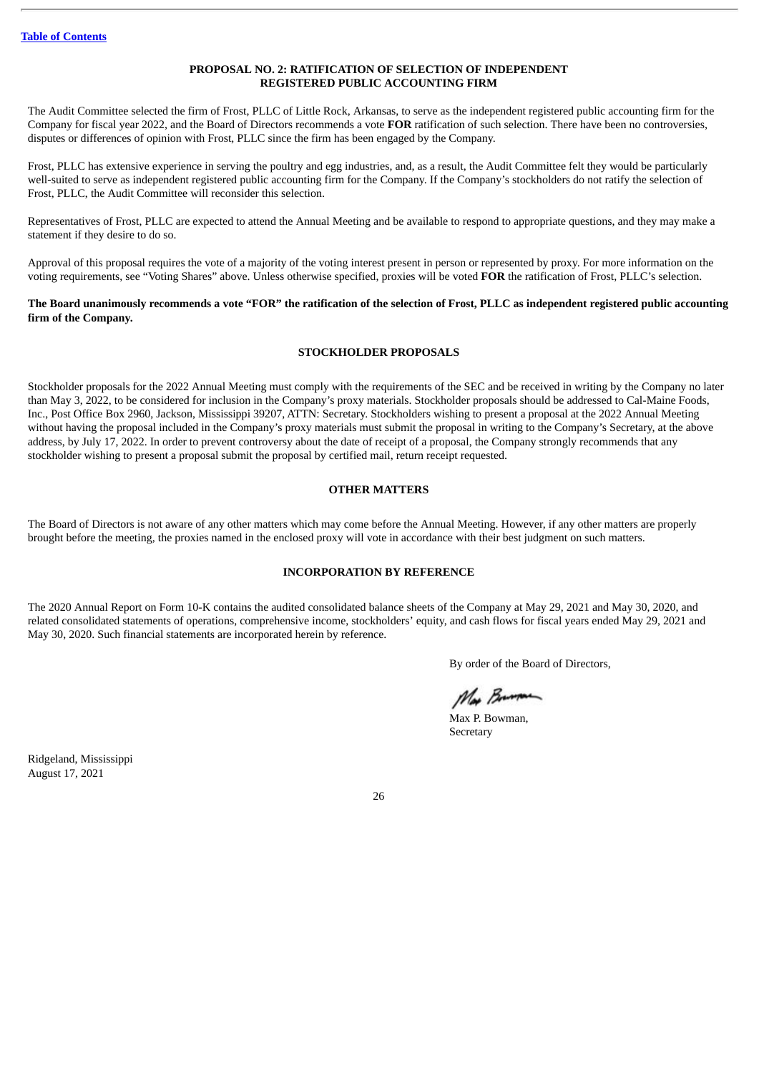## **PROPOSAL NO. 2: RATIFICATION OF SELECTION OF INDEPENDENT REGISTERED PUBLIC ACCOUNTING FIRM**

The Audit Committee selected the firm of Frost, PLLC of Little Rock, Arkansas, to serve as the independent registered public accounting firm for the Company for fiscal year 2022, and the Board of Directors recommends a vote **FOR** ratification of such selection. There have been no controversies, disputes or differences of opinion with Frost, PLLC since the firm has been engaged by the Company.

Frost, PLLC has extensive experience in serving the poultry and egg industries, and, as a result, the Audit Committee felt they would be particularly well-suited to serve as independent registered public accounting firm for the Company. If the Company's stockholders do not ratify the selection of Frost, PLLC, the Audit Committee will reconsider this selection.

Representatives of Frost, PLLC are expected to attend the Annual Meeting and be available to respond to appropriate questions, and they may make a statement if they desire to do so.

Approval of this proposal requires the vote of a majority of the voting interest present in person or represented by proxy. For more information on the voting requirements, see "Voting Shares" above. Unless otherwise specified, proxies will be voted **FOR** the ratification of Frost, PLLC's selection.

#### The Board unanimously recommends a vote "FOR" the ratification of the selection of Frost, PLLC as independent registered public accounting **firm of the Company.**

## **STOCKHOLDER PROPOSALS**

Stockholder proposals for the 2022 Annual Meeting must comply with the requirements of the SEC and be received in writing by the Company no later than May 3, 2022, to be considered for inclusion in the Company's proxy materials. Stockholder proposals should be addressed to Cal-Maine Foods, Inc., Post Office Box 2960, Jackson, Mississippi 39207, ATTN: Secretary. Stockholders wishing to present a proposal at the 2022 Annual Meeting without having the proposal included in the Company's proxy materials must submit the proposal in writing to the Company's Secretary, at the above address, by July 17, 2022. In order to prevent controversy about the date of receipt of a proposal, the Company strongly recommends that any stockholder wishing to present a proposal submit the proposal by certified mail, return receipt requested.

## **OTHER MATTERS**

The Board of Directors is not aware of any other matters which may come before the Annual Meeting. However, if any other matters are properly brought before the meeting, the proxies named in the enclosed proxy will vote in accordance with their best judgment on such matters.

## **INCORPORATION BY REFERENCE**

The 2020 Annual Report on Form 10-K contains the audited consolidated balance sheets of the Company at May 29, 2021 and May 30, 2020, and related consolidated statements of operations, comprehensive income, stockholders' equity, and cash flows for fiscal years ended May 29, 2021 and May 30, 2020. Such financial statements are incorporated herein by reference.

By order of the Board of Directors,

Ma Brimon

Max P. Bowman, Secretary

Ridgeland, Mississippi August 17, 2021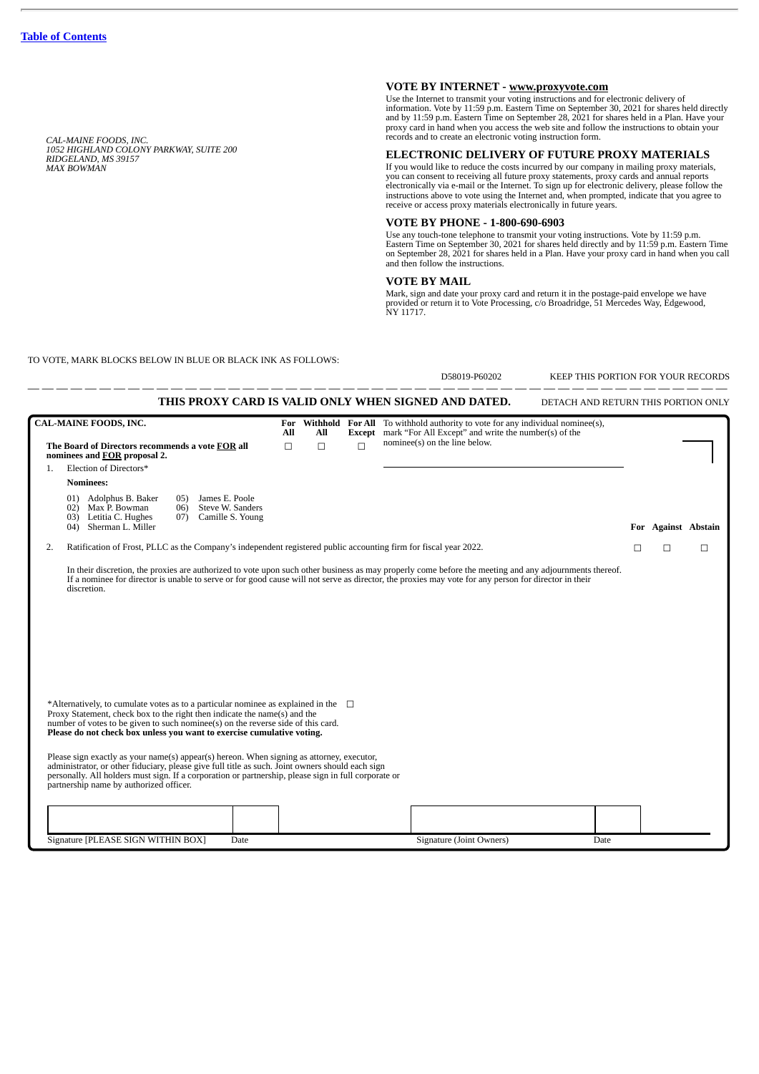*CAL-MAINE FOODS, INC. 1052 HIGHLAND COLONY PARKWAY, SUITE 200 RIDGELAND, MS 39157 MAX BOWMAN*

## **VOTE BY INTERNET - www.proxyvote.com**

Use the Internet to transmit your voting instructions and for electronic delivery of information. Vote by 11:59 p.m. Eastern Time on September 30, 2021 for shares held directly and by 11:59 p.m. Eastern Time on September 28, 2021 for shares held in a Plan. Have your and by 11:59 p.m. Eastern Time on September 28, 2021 for shares held in a Plan. Have your proxy card in hand when you access the web site and follow the instructions to obtain your records and to create an electronic voting instruction form.

#### **ELECTRONIC DELIVERY OF FUTURE PROXY MATERIALS**

If you would like to reduce the costs incurred by our company in mailing proxy materials,<br>you can consent to receiving all future proxy statements, proxy cards and annual reports<br>electronically via e-mail or the Internet.

#### **VOTE BY PHONE - 1-800-690-6903**

Use any touch-tone telephone to transmit your voting instructions. Vote by 11:59 p.m.<br>Eastern Time on September 30, 2021 for shares held directly and by 11:59 p.m. Eastern Time<br>on September 28, 2021 for shares held in a Pl and then follow the instructions.

#### **VOTE BY MAIL**

Mark, sign and date your proxy card and return it in the postage-paid envelope we have provided or return it to Vote Processing, c/o Broadridge, 51 Mercedes Way, Edgewood, NY 11717.

TO VOTE, MARK BLOCKS BELOW IN BLUE OR BLACK INK AS FOLLOWS:

|    |                                                                                                                                                                                                                                                                                                                                                  |     |     |        | D58019-P60202                                                                                                                                           | KEEP THIS PORTION FOR YOUR RECORDS  |   |                     |   |
|----|--------------------------------------------------------------------------------------------------------------------------------------------------------------------------------------------------------------------------------------------------------------------------------------------------------------------------------------------------|-----|-----|--------|---------------------------------------------------------------------------------------------------------------------------------------------------------|-------------------------------------|---|---------------------|---|
|    |                                                                                                                                                                                                                                                                                                                                                  |     |     |        | THIS PROXY CARD IS VALID ONLY WHEN SIGNED AND DATED.                                                                                                    | DETACH AND RETURN THIS PORTION ONLY |   |                     |   |
|    | <b>CAL-MAINE FOODS, INC.</b>                                                                                                                                                                                                                                                                                                                     | All | All |        | For Withhold For All To withhold authority to vote for any individual nominee(s),<br><b>Except</b> mark "For All Except" and write the number(s) of the |                                     |   |                     |   |
|    | The Board of Directors recommends a vote FOR all<br>nominees and FOR proposal 2.                                                                                                                                                                                                                                                                 | П   | □   | $\Box$ | nominee(s) on the line below.                                                                                                                           |                                     |   |                     |   |
| 1. | Election of Directors*                                                                                                                                                                                                                                                                                                                           |     |     |        |                                                                                                                                                         |                                     |   |                     |   |
|    | <b>Nominees:</b>                                                                                                                                                                                                                                                                                                                                 |     |     |        |                                                                                                                                                         |                                     |   |                     |   |
|    | 01) Adolphus B. Baker<br>James E. Poole<br>05)<br>02) Max P. Bowman<br>Steve W. Sanders<br>06)<br>03) Letitia C. Hughes<br>Camille S. Young<br>07)<br>04) Sherman L. Miller                                                                                                                                                                      |     |     |        |                                                                                                                                                         |                                     |   | For Against Abstain |   |
| 2. | Ratification of Frost, PLLC as the Company's independent registered public accounting firm for fiscal year 2022.                                                                                                                                                                                                                                 |     |     |        |                                                                                                                                                         |                                     | □ | П                   | П |
|    | discretion.                                                                                                                                                                                                                                                                                                                                      |     |     |        |                                                                                                                                                         |                                     |   |                     |   |
|    | *Alternatively, to cumulate votes as to a particular nominee as explained in the $\square$<br>Proxy Statement, check box to the right then indicate the name(s) and the<br>number of votes to be given to such nominee(s) on the reverse side of this card.<br>Please do not check box unless you want to exercise cumulative voting.            |     |     |        |                                                                                                                                                         |                                     |   |                     |   |
|    | Please sign exactly as your name(s) appear(s) hereon. When signing as attorney, executor,<br>administrator, or other fiduciary, please give full title as such. Joint owners should each sign<br>personally. All holders must sign. If a corporation or partnership, please sign in full corporate or<br>partnership name by authorized officer. |     |     |        |                                                                                                                                                         |                                     |   |                     |   |
|    |                                                                                                                                                                                                                                                                                                                                                  |     |     |        |                                                                                                                                                         |                                     |   |                     |   |
|    | Signature [PLEASE SIGN WITHIN BOX]<br>Date                                                                                                                                                                                                                                                                                                       |     |     |        | Signature (Joint Owners)                                                                                                                                | Date                                |   |                     |   |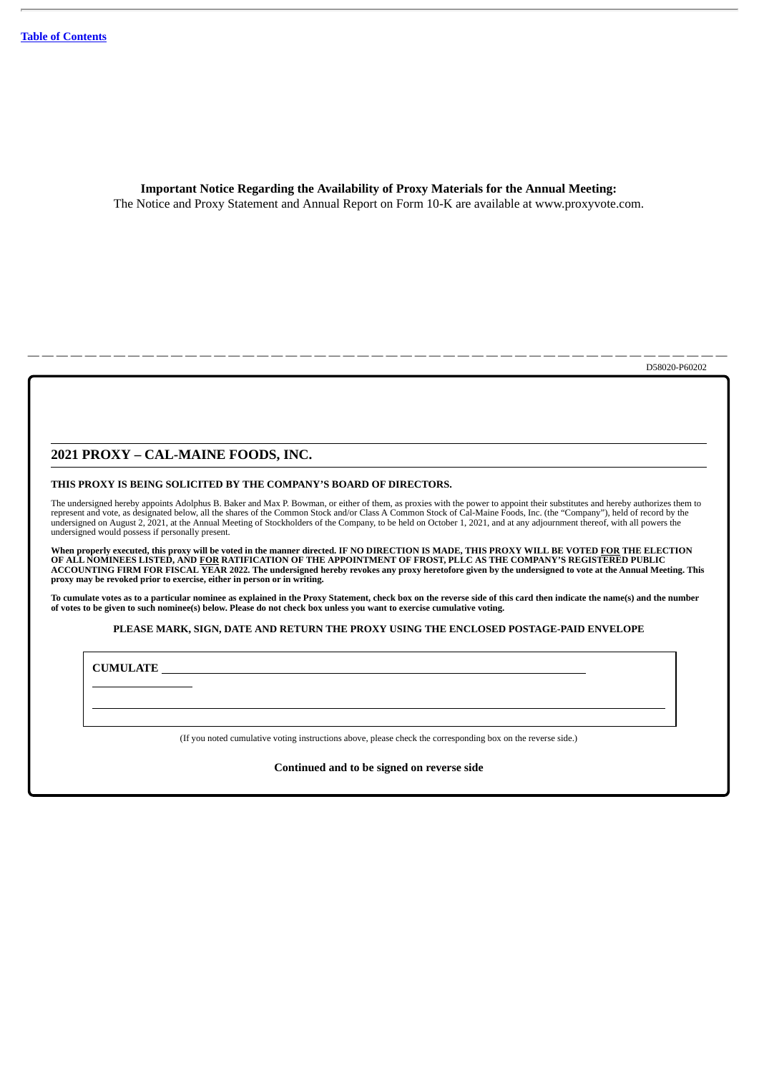**Important Notice Regarding the Availability of Proxy Materials for the Annual Meeting:** The Notice and Proxy Statement and Annual Report on Form 10-K are available at www.proxyvote.com.

— — — — — — — — — — — — — — — — — — — — — — — — — — — — — — — — — — — — — — — — — — — — — — — — — D58020-P60202

#### **2021 PROXY – CAL-MAINE FOODS, INC.**

#### **THIS PROXY IS BEING SOLICITED BY THE COMPANY'S BOARD OF DIRECTORS.**

The undersigned hereby appoints Adolphus B. Baker and Max P. Bowman, or either of them, as proxies with the power to appoint their substitutes and hereby authorizes them to<br>represent and vote, as designated below, all the undersigned would possess if personally present.

When properly executed, this proxy will be voted in the manner directed. IF NO DIRECTION IS MADE, THIS PROXY WILL BE VOTED <u>FOR</u> THE ELECTION<br>OF ALL NOMINEES LISTED, AND <u>FOR</u> RATIFICATION OF THE APPOINTMENT OF FROST, PLLC **proxy may be revoked prior to exercise, either in person or in writing.**

To cumulate votes as to a particular nominee as explained in the Proxy Statement, check box on the reverse side of this card then indicate the name(s) and the number of votes to be given to such nominee(s) below. Please do not check box unless you want to exercise cumulative voting.

#### **PLEASE MARK, SIGN, DATE AND RETURN THE PROXY USING THE ENCLOSED POSTAGE-PAID ENVELOPE**

**CUMULATE**

(If you noted cumulative voting instructions above, please check the corresponding box on the reverse side.)

**Continued and to be signed on reverse side**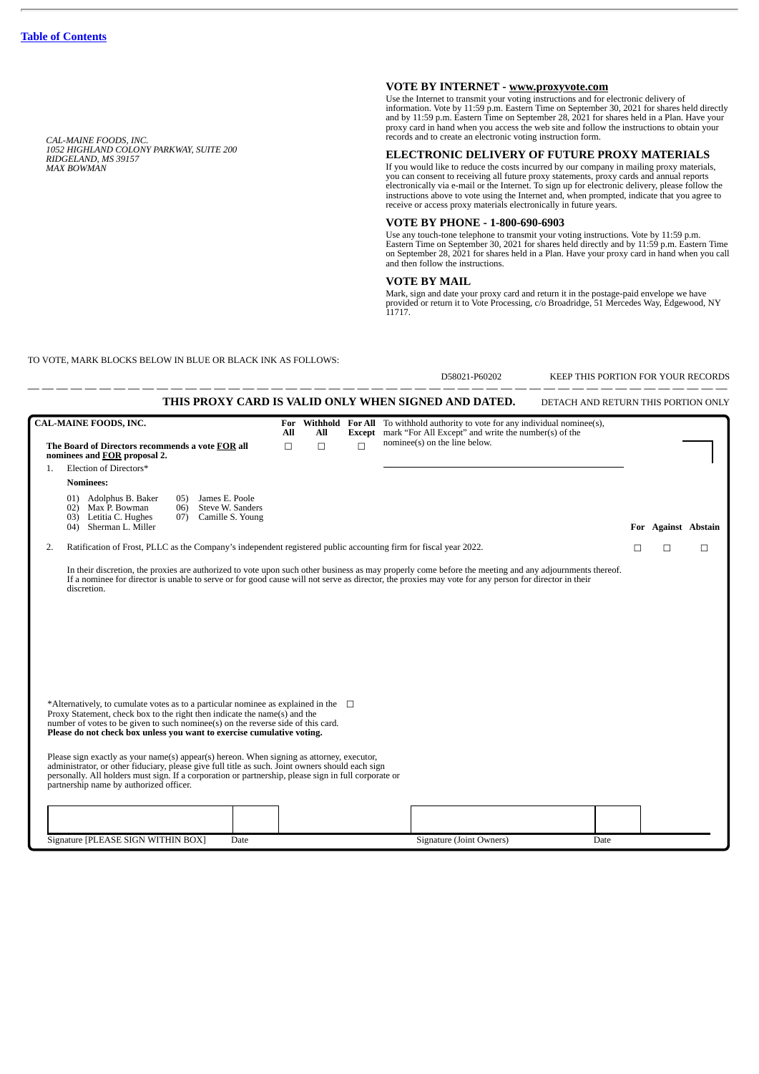*CAL-MAINE FOODS, INC. 1052 HIGHLAND COLONY PARKWAY, SUITE 200 RIDGELAND, MS 39157 MAX BOWMAN*

## **VOTE BY INTERNET - www.proxyvote.com**

Use the Internet to transmit your voting instructions and for electronic delivery of information. Vote by 11:59 p.m. Eastern Time on September 30, 2021 for shares held directly and by 11:59 p.m. Eastern Time on September 28, 2021 for shares held in a Plan. Have your and by 11:59 p.m. Eastern Time on September 28, 2021 for shares held in a Plan. Have your proxy card in hand when you access the web site and follow the instructions to obtain your records and to create an electronic voting instruction form.

#### **ELECTRONIC DELIVERY OF FUTURE PROXY MATERIALS**

If you would like to reduce the costs incurred by our company in mailing proxy materials,<br>you can consent to receiving all future proxy statements, proxy cards and annual reports<br>electronically via e-mail or the Internet.

#### **VOTE BY PHONE - 1-800-690-6903**

Use any touch-tone telephone to transmit your voting instructions. Vote by 11:59 p.m.<br>Eastern Time on September 30, 2021 for shares held directly and by 11:59 p.m. Eastern Time<br>on September 28, 2021 for shares held in a Pl and then follow the instructions.

#### **VOTE BY MAIL**

Mark, sign and date your proxy card and return it in the postage-paid envelope we have provided or return it to Vote Processing, c/o Broadridge, 51 Mercedes Way, Edgewood, NY 11717.

D58021-B60202 KEEP THIS PORTION FOR VOUR RECORDS

TO VOTE, MARK BLOCKS BELOW IN BLUE OR BLACK INK AS FOLLOWS:

|    | <b>CAL-MAINE FOODS, INC.</b>                                                                                                                                                                                                                                                                                                                     |     |     |        |                                                                                                                                                         |   |                     |   |
|----|--------------------------------------------------------------------------------------------------------------------------------------------------------------------------------------------------------------------------------------------------------------------------------------------------------------------------------------------------|-----|-----|--------|---------------------------------------------------------------------------------------------------------------------------------------------------------|---|---------------------|---|
|    |                                                                                                                                                                                                                                                                                                                                                  | All | All |        | For Withhold For All To withhold authority to vote for any individual nominee(s),<br><b>Except</b> mark "For All Except" and write the number(s) of the |   |                     |   |
|    | The Board of Directors recommends a vote FOR all<br>nominees and FOR proposal 2.                                                                                                                                                                                                                                                                 | П   | П   | $\Box$ | nominee(s) on the line below.                                                                                                                           |   |                     |   |
| 1. | Election of Directors*                                                                                                                                                                                                                                                                                                                           |     |     |        |                                                                                                                                                         |   |                     |   |
|    | <b>Nominees:</b>                                                                                                                                                                                                                                                                                                                                 |     |     |        |                                                                                                                                                         |   |                     |   |
|    | James E. Poole<br>01) Adolphus B. Baker<br>05)<br>02) Max P. Bowman<br>Steve W. Sanders<br>06)<br>Letitia C. Hughes<br>Camille S. Young<br>03)<br>(07)<br>Sherman L. Miller<br>(04)                                                                                                                                                              |     |     |        |                                                                                                                                                         |   | For Against Abstain |   |
| 2. | Ratification of Frost, PLLC as the Company's independent registered public accounting firm for fiscal year 2022.                                                                                                                                                                                                                                 |     |     |        |                                                                                                                                                         | П | П                   | П |
|    |                                                                                                                                                                                                                                                                                                                                                  |     |     |        |                                                                                                                                                         |   |                     |   |
|    | *Alternatively, to cumulate votes as to a particular nominee as explained in the $\square$<br>Proxy Statement, check box to the right then indicate the name(s) and the<br>number of votes to be given to such nominee(s) on the reverse side of this card.<br>Please do not check box unless you want to exercise cumulative voting.            |     |     |        |                                                                                                                                                         |   |                     |   |
|    | Please sign exactly as your name(s) appear(s) hereon. When signing as attorney, executor,<br>administrator, or other fiduciary, please give full title as such. Joint owners should each sign<br>personally. All holders must sign. If a corporation or partnership, please sign in full corporate or<br>partnership name by authorized officer. |     |     |        |                                                                                                                                                         |   |                     |   |
|    |                                                                                                                                                                                                                                                                                                                                                  |     |     |        |                                                                                                                                                         |   |                     |   |